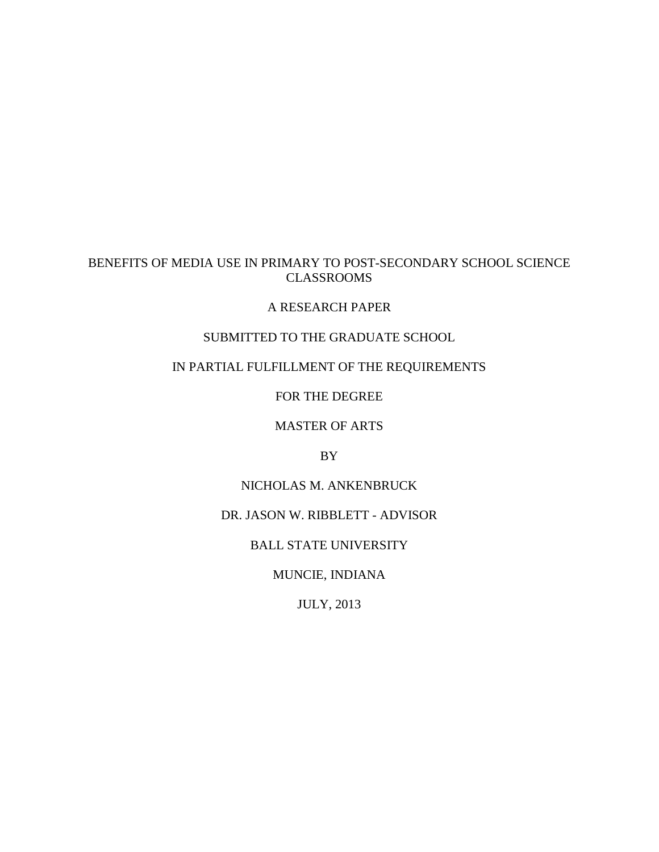# BENEFITS OF MEDIA USE IN PRIMARY TO POST-SECONDARY SCHOOL SCIENCE CLASSROOMS

## A RESEARCH PAPER

## SUBMITTED TO THE GRADUATE SCHOOL

## IN PARTIAL FULFILLMENT OF THE REQUIREMENTS

FOR THE DEGREE

MASTER OF ARTS

BY

# NICHOLAS M. ANKENBRUCK

## DR. JASON W. RIBBLETT - ADVISOR

BALL STATE UNIVERSITY

MUNCIE, INDIANA

JULY, 2013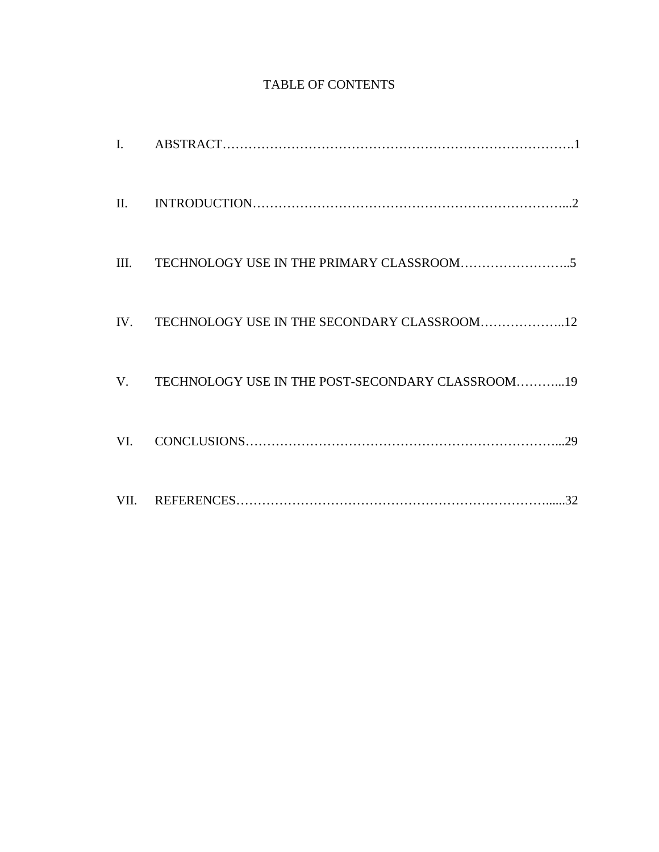# TABLE OF CONTENTS

| $\mathbf{I}$ .  |                                                     |
|-----------------|-----------------------------------------------------|
| $\mathbf{II}$ . |                                                     |
| III.            |                                                     |
|                 | IV. TECHNOLOGY USE IN THE SECONDARY CLASSROOM12     |
|                 | V. TECHNOLOGY USE IN THE POST-SECONDARY CLASSROOM19 |
| VI.             |                                                     |
| VII.            |                                                     |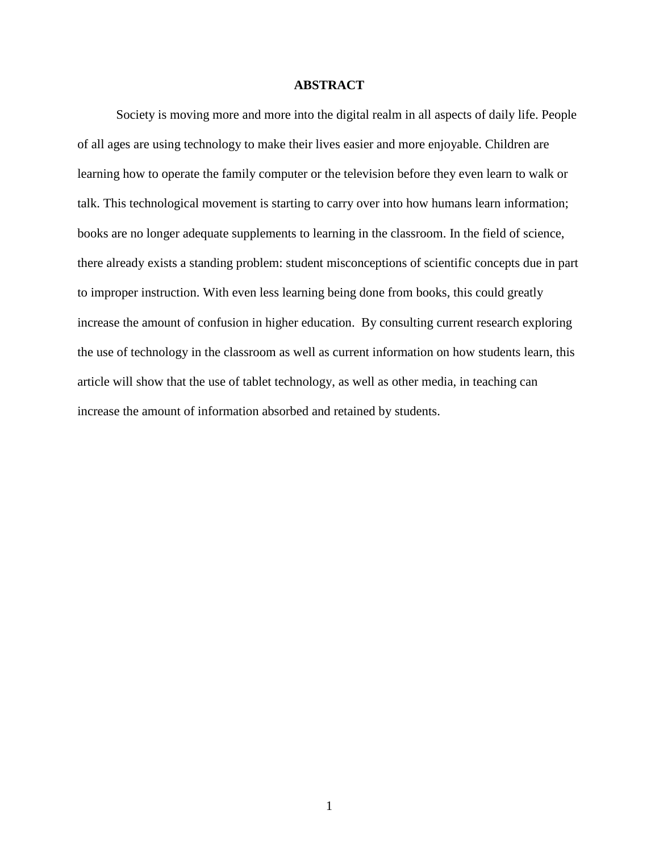## **ABSTRACT**

Society is moving more and more into the digital realm in all aspects of daily life. People of all ages are using technology to make their lives easier and more enjoyable. Children are learning how to operate the family computer or the television before they even learn to walk or talk. This technological movement is starting to carry over into how humans learn information; books are no longer adequate supplements to learning in the classroom. In the field of science, there already exists a standing problem: student misconceptions of scientific concepts due in part to improper instruction. With even less learning being done from books, this could greatly increase the amount of confusion in higher education. By consulting current research exploring the use of technology in the classroom as well as current information on how students learn, this article will show that the use of tablet technology, as well as other media, in teaching can increase the amount of information absorbed and retained by students.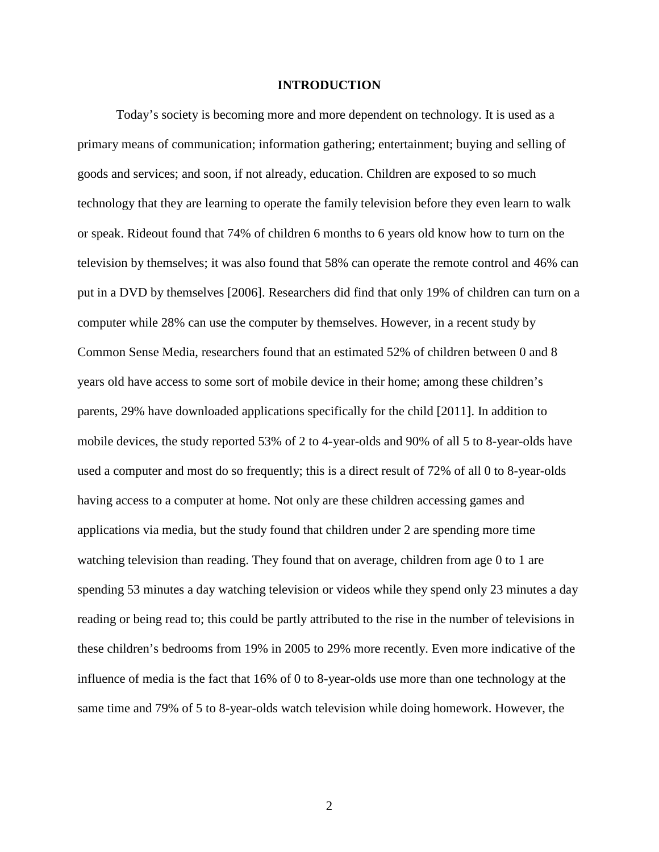### **INTRODUCTION**

Today's society is becoming more and more dependent on technology. It is used as a primary means of communication; information gathering; entertainment; buying and selling of goods and services; and soon, if not already, education. Children are exposed to so much technology that they are learning to operate the family television before they even learn to walk or speak. Rideout found that 74% of children 6 months to 6 years old know how to turn on the television by themselves; it was also found that 58% can operate the remote control and 46% can put in a DVD by themselves [2006]. Researchers did find that only 19% of children can turn on a computer while 28% can use the computer by themselves. However, in a recent study by Common Sense Media, researchers found that an estimated 52% of children between 0 and 8 years old have access to some sort of mobile device in their home; among these children's parents, 29% have downloaded applications specifically for the child [2011]. In addition to mobile devices, the study reported 53% of 2 to 4-year-olds and 90% of all 5 to 8-year-olds have used a computer and most do so frequently; this is a direct result of 72% of all 0 to 8-year-olds having access to a computer at home. Not only are these children accessing games and applications via media, but the study found that children under 2 are spending more time watching television than reading. They found that on average, children from age 0 to 1 are spending 53 minutes a day watching television or videos while they spend only 23 minutes a day reading or being read to; this could be partly attributed to the rise in the number of televisions in these children's bedrooms from 19% in 2005 to 29% more recently. Even more indicative of the influence of media is the fact that 16% of 0 to 8-year-olds use more than one technology at the same time and 79% of 5 to 8-year-olds watch television while doing homework. However, the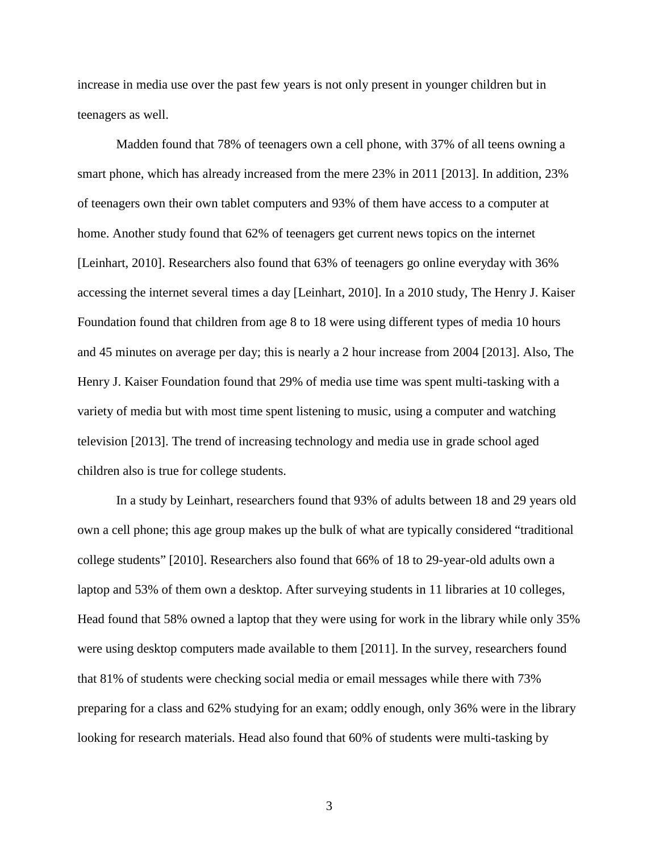increase in media use over the past few years is not only present in younger children but in teenagers as well.

Madden found that 78% of teenagers own a cell phone, with 37% of all teens owning a smart phone, which has already increased from the mere 23% in 2011 [2013]. In addition, 23% of teenagers own their own tablet computers and 93% of them have access to a computer at home. Another study found that 62% of teenagers get current news topics on the internet [Leinhart, 2010]. Researchers also found that 63% of teenagers go online everyday with 36% accessing the internet several times a day [Leinhart, 2010]. In a 2010 study, The Henry J. Kaiser Foundation found that children from age 8 to 18 were using different types of media 10 hours and 45 minutes on average per day; this is nearly a 2 hour increase from 2004 [2013]. Also, The Henry J. Kaiser Foundation found that 29% of media use time was spent multi-tasking with a variety of media but with most time spent listening to music, using a computer and watching television [2013]. The trend of increasing technology and media use in grade school aged children also is true for college students.

In a study by Leinhart, researchers found that 93% of adults between 18 and 29 years old own a cell phone; this age group makes up the bulk of what are typically considered "traditional college students" [2010]. Researchers also found that 66% of 18 to 29-year-old adults own a laptop and 53% of them own a desktop. After surveying students in 11 libraries at 10 colleges, Head found that 58% owned a laptop that they were using for work in the library while only 35% were using desktop computers made available to them [2011]. In the survey, researchers found that 81% of students were checking social media or email messages while there with 73% preparing for a class and 62% studying for an exam; oddly enough, only 36% were in the library looking for research materials. Head also found that 60% of students were multi-tasking by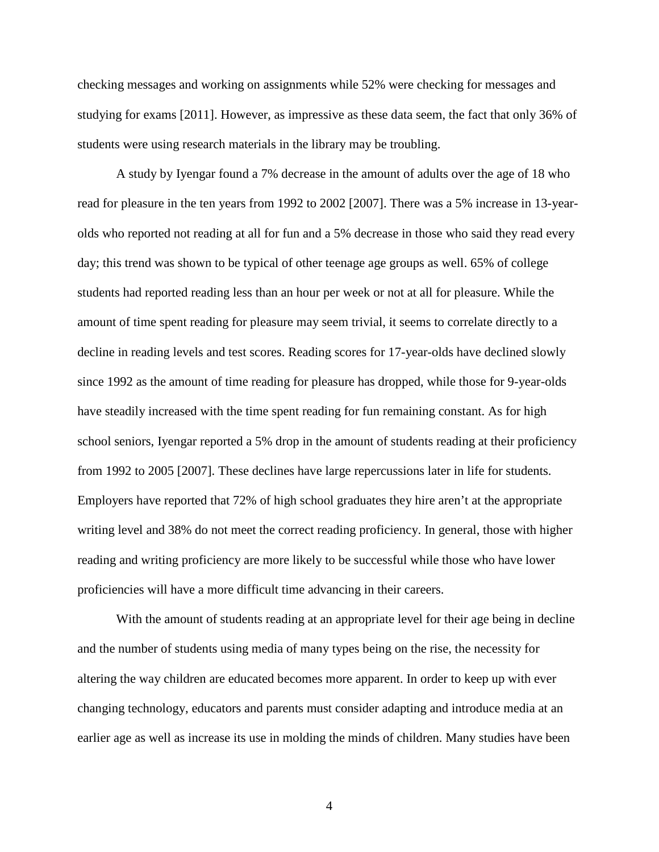checking messages and working on assignments while 52% were checking for messages and studying for exams [2011]. However, as impressive as these data seem, the fact that only 36% of students were using research materials in the library may be troubling.

A study by Iyengar found a 7% decrease in the amount of adults over the age of 18 who read for pleasure in the ten years from 1992 to 2002 [2007]. There was a 5% increase in 13-yearolds who reported not reading at all for fun and a 5% decrease in those who said they read every day; this trend was shown to be typical of other teenage age groups as well. 65% of college students had reported reading less than an hour per week or not at all for pleasure. While the amount of time spent reading for pleasure may seem trivial, it seems to correlate directly to a decline in reading levels and test scores. Reading scores for 17-year-olds have declined slowly since 1992 as the amount of time reading for pleasure has dropped, while those for 9-year-olds have steadily increased with the time spent reading for fun remaining constant. As for high school seniors, Iyengar reported a 5% drop in the amount of students reading at their proficiency from 1992 to 2005 [2007]. These declines have large repercussions later in life for students. Employers have reported that 72% of high school graduates they hire aren't at the appropriate writing level and 38% do not meet the correct reading proficiency. In general, those with higher reading and writing proficiency are more likely to be successful while those who have lower proficiencies will have a more difficult time advancing in their careers.

With the amount of students reading at an appropriate level for their age being in decline and the number of students using media of many types being on the rise, the necessity for altering the way children are educated becomes more apparent. In order to keep up with ever changing technology, educators and parents must consider adapting and introduce media at an earlier age as well as increase its use in molding the minds of children. Many studies have been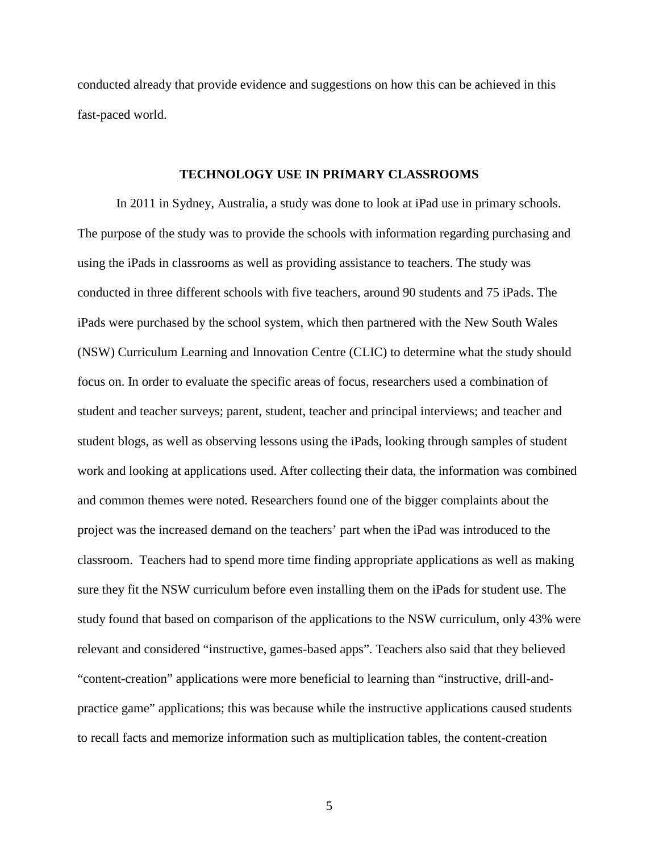conducted already that provide evidence and suggestions on how this can be achieved in this fast-paced world.

#### **TECHNOLOGY USE IN PRIMARY CLASSROOMS**

In 2011 in Sydney, Australia, a study was done to look at iPad use in primary schools. The purpose of the study was to provide the schools with information regarding purchasing and using the iPads in classrooms as well as providing assistance to teachers. The study was conducted in three different schools with five teachers, around 90 students and 75 iPads. The iPads were purchased by the school system, which then partnered with the New South Wales (NSW) Curriculum Learning and Innovation Centre (CLIC) to determine what the study should focus on. In order to evaluate the specific areas of focus, researchers used a combination of student and teacher surveys; parent, student, teacher and principal interviews; and teacher and student blogs, as well as observing lessons using the iPads, looking through samples of student work and looking at applications used. After collecting their data, the information was combined and common themes were noted. Researchers found one of the bigger complaints about the project was the increased demand on the teachers' part when the iPad was introduced to the classroom. Teachers had to spend more time finding appropriate applications as well as making sure they fit the NSW curriculum before even installing them on the iPads for student use. The study found that based on comparison of the applications to the NSW curriculum, only 43% were relevant and considered "instructive, games-based apps". Teachers also said that they believed "content-creation" applications were more beneficial to learning than "instructive, drill-andpractice game" applications; this was because while the instructive applications caused students to recall facts and memorize information such as multiplication tables, the content-creation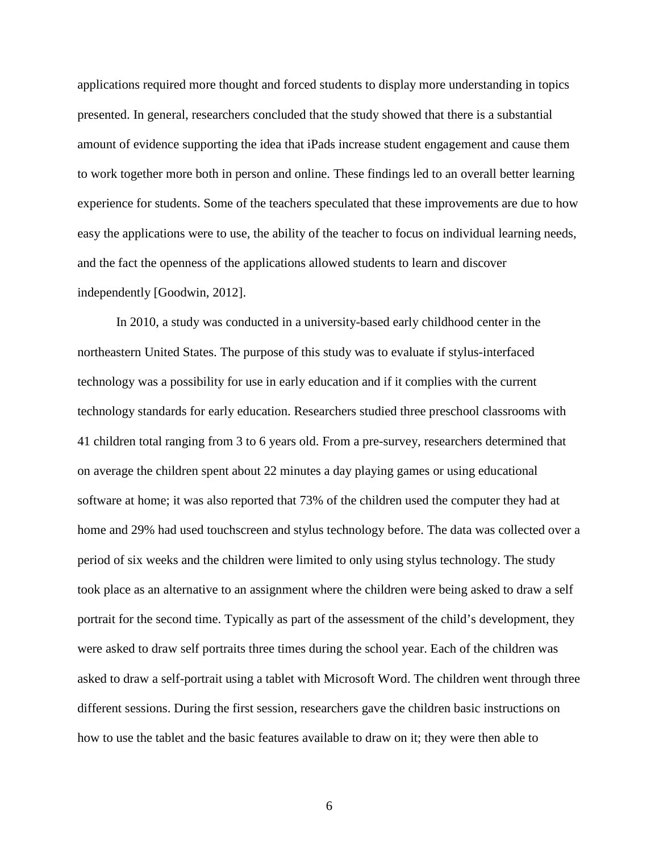applications required more thought and forced students to display more understanding in topics presented. In general, researchers concluded that the study showed that there is a substantial amount of evidence supporting the idea that iPads increase student engagement and cause them to work together more both in person and online. These findings led to an overall better learning experience for students. Some of the teachers speculated that these improvements are due to how easy the applications were to use, the ability of the teacher to focus on individual learning needs, and the fact the openness of the applications allowed students to learn and discover independently [Goodwin, 2012].

In 2010, a study was conducted in a university-based early childhood center in the northeastern United States. The purpose of this study was to evaluate if stylus-interfaced technology was a possibility for use in early education and if it complies with the current technology standards for early education. Researchers studied three preschool classrooms with 41 children total ranging from 3 to 6 years old. From a pre-survey, researchers determined that on average the children spent about 22 minutes a day playing games or using educational software at home; it was also reported that 73% of the children used the computer they had at home and 29% had used touchscreen and stylus technology before. The data was collected over a period of six weeks and the children were limited to only using stylus technology. The study took place as an alternative to an assignment where the children were being asked to draw a self portrait for the second time. Typically as part of the assessment of the child's development, they were asked to draw self portraits three times during the school year. Each of the children was asked to draw a self-portrait using a tablet with Microsoft Word. The children went through three different sessions. During the first session, researchers gave the children basic instructions on how to use the tablet and the basic features available to draw on it; they were then able to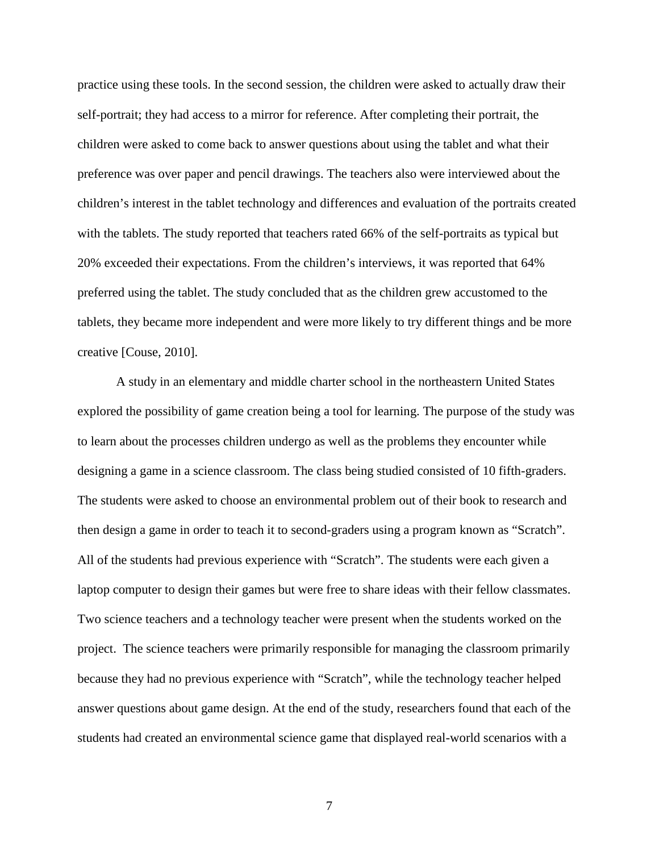practice using these tools. In the second session, the children were asked to actually draw their self-portrait; they had access to a mirror for reference. After completing their portrait, the children were asked to come back to answer questions about using the tablet and what their preference was over paper and pencil drawings. The teachers also were interviewed about the children's interest in the tablet technology and differences and evaluation of the portraits created with the tablets. The study reported that teachers rated 66% of the self-portraits as typical but 20% exceeded their expectations. From the children's interviews, it was reported that 64% preferred using the tablet. The study concluded that as the children grew accustomed to the tablets, they became more independent and were more likely to try different things and be more creative [Couse, 2010].

A study in an elementary and middle charter school in the northeastern United States explored the possibility of game creation being a tool for learning. The purpose of the study was to learn about the processes children undergo as well as the problems they encounter while designing a game in a science classroom. The class being studied consisted of 10 fifth-graders. The students were asked to choose an environmental problem out of their book to research and then design a game in order to teach it to second-graders using a program known as "Scratch". All of the students had previous experience with "Scratch". The students were each given a laptop computer to design their games but were free to share ideas with their fellow classmates. Two science teachers and a technology teacher were present when the students worked on the project. The science teachers were primarily responsible for managing the classroom primarily because they had no previous experience with "Scratch", while the technology teacher helped answer questions about game design. At the end of the study, researchers found that each of the students had created an environmental science game that displayed real-world scenarios with a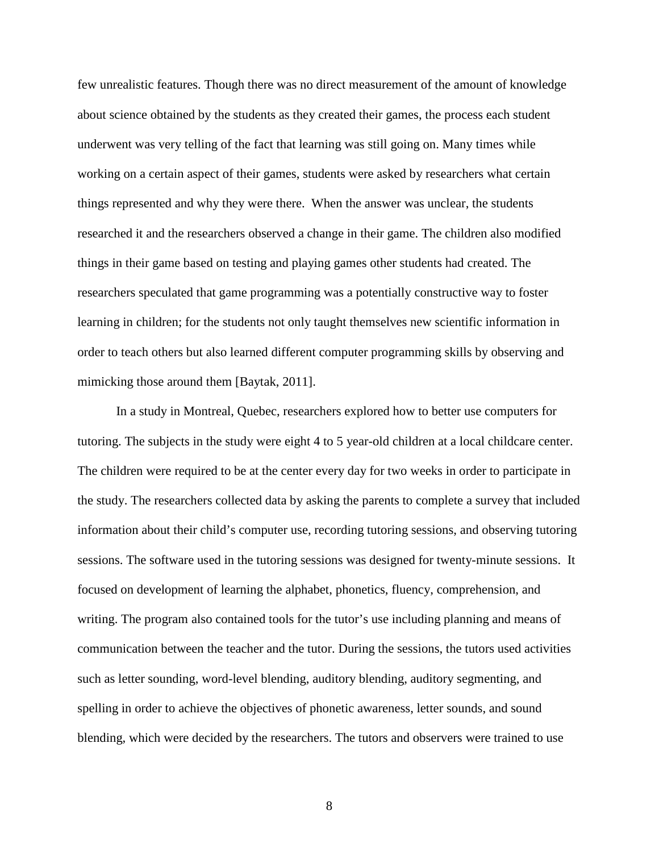few unrealistic features. Though there was no direct measurement of the amount of knowledge about science obtained by the students as they created their games, the process each student underwent was very telling of the fact that learning was still going on. Many times while working on a certain aspect of their games, students were asked by researchers what certain things represented and why they were there. When the answer was unclear, the students researched it and the researchers observed a change in their game. The children also modified things in their game based on testing and playing games other students had created. The researchers speculated that game programming was a potentially constructive way to foster learning in children; for the students not only taught themselves new scientific information in order to teach others but also learned different computer programming skills by observing and mimicking those around them [Baytak, 2011].

In a study in Montreal, Quebec, researchers explored how to better use computers for tutoring. The subjects in the study were eight 4 to 5 year-old children at a local childcare center. The children were required to be at the center every day for two weeks in order to participate in the study. The researchers collected data by asking the parents to complete a survey that included information about their child's computer use, recording tutoring sessions, and observing tutoring sessions. The software used in the tutoring sessions was designed for twenty-minute sessions. It focused on development of learning the alphabet, phonetics, fluency, comprehension, and writing. The program also contained tools for the tutor's use including planning and means of communication between the teacher and the tutor. During the sessions, the tutors used activities such as letter sounding, word-level blending, auditory blending, auditory segmenting, and spelling in order to achieve the objectives of phonetic awareness, letter sounds, and sound blending, which were decided by the researchers. The tutors and observers were trained to use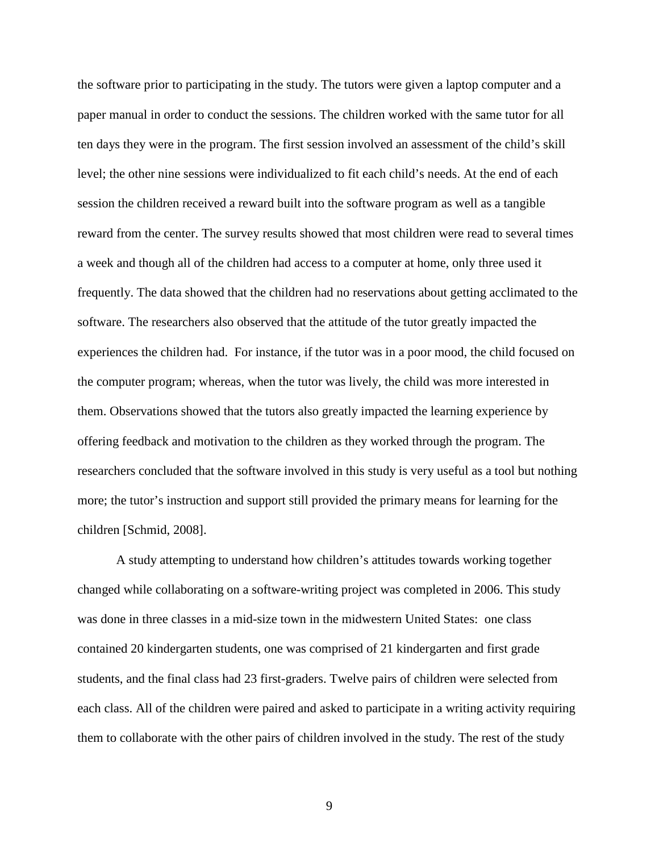the software prior to participating in the study. The tutors were given a laptop computer and a paper manual in order to conduct the sessions. The children worked with the same tutor for all ten days they were in the program. The first session involved an assessment of the child's skill level; the other nine sessions were individualized to fit each child's needs. At the end of each session the children received a reward built into the software program as well as a tangible reward from the center. The survey results showed that most children were read to several times a week and though all of the children had access to a computer at home, only three used it frequently. The data showed that the children had no reservations about getting acclimated to the software. The researchers also observed that the attitude of the tutor greatly impacted the experiences the children had. For instance, if the tutor was in a poor mood, the child focused on the computer program; whereas, when the tutor was lively, the child was more interested in them. Observations showed that the tutors also greatly impacted the learning experience by offering feedback and motivation to the children as they worked through the program. The researchers concluded that the software involved in this study is very useful as a tool but nothing more; the tutor's instruction and support still provided the primary means for learning for the children [Schmid, 2008].

A study attempting to understand how children's attitudes towards working together changed while collaborating on a software-writing project was completed in 2006. This study was done in three classes in a mid-size town in the midwestern United States: one class contained 20 kindergarten students, one was comprised of 21 kindergarten and first grade students, and the final class had 23 first-graders. Twelve pairs of children were selected from each class. All of the children were paired and asked to participate in a writing activity requiring them to collaborate with the other pairs of children involved in the study. The rest of the study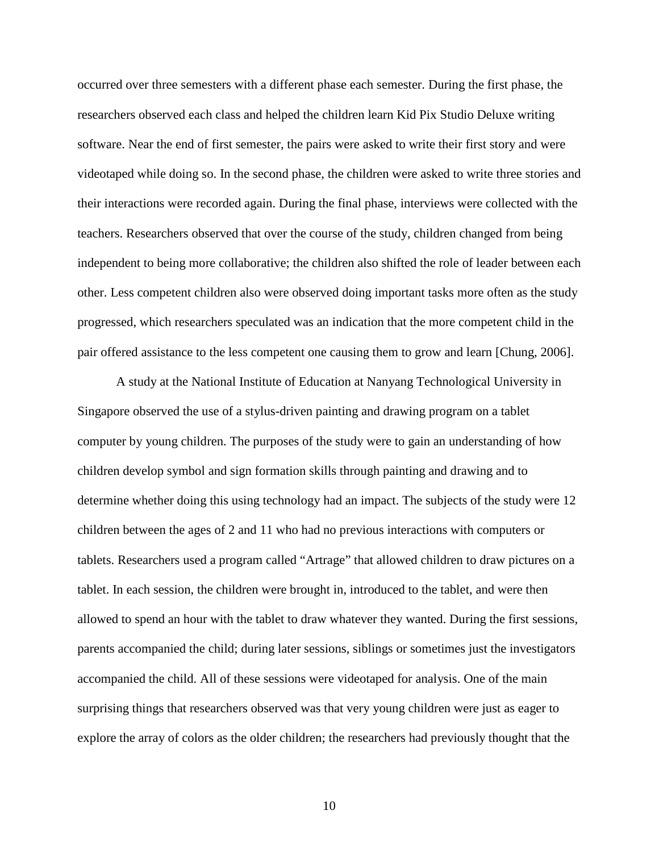occurred over three semesters with a different phase each semester. During the first phase, the researchers observed each class and helped the children learn Kid Pix Studio Deluxe writing software. Near the end of first semester, the pairs were asked to write their first story and were videotaped while doing so. In the second phase, the children were asked to write three stories and their interactions were recorded again. During the final phase, interviews were collected with the teachers. Researchers observed that over the course of the study, children changed from being independent to being more collaborative; the children also shifted the role of leader between each other. Less competent children also were observed doing important tasks more often as the study progressed, which researchers speculated was an indication that the more competent child in the pair offered assistance to the less competent one causing them to grow and learn [Chung, 2006].

A study at the National Institute of Education at Nanyang Technological University in Singapore observed the use of a stylus-driven painting and drawing program on a tablet computer by young children. The purposes of the study were to gain an understanding of how children develop symbol and sign formation skills through painting and drawing and to determine whether doing this using technology had an impact. The subjects of the study were 12 children between the ages of 2 and 11 who had no previous interactions with computers or tablets. Researchers used a program called "Artrage" that allowed children to draw pictures on a tablet. In each session, the children were brought in, introduced to the tablet, and were then allowed to spend an hour with the tablet to draw whatever they wanted. During the first sessions, parents accompanied the child; during later sessions, siblings or sometimes just the investigators accompanied the child. All of these sessions were videotaped for analysis. One of the main surprising things that researchers observed was that very young children were just as eager to explore the array of colors as the older children; the researchers had previously thought that the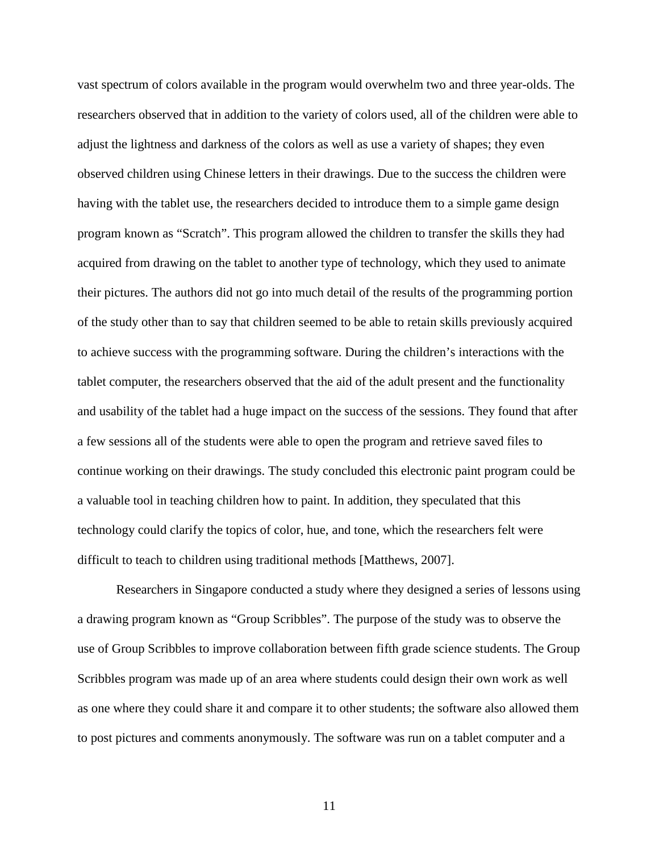vast spectrum of colors available in the program would overwhelm two and three year-olds. The researchers observed that in addition to the variety of colors used, all of the children were able to adjust the lightness and darkness of the colors as well as use a variety of shapes; they even observed children using Chinese letters in their drawings. Due to the success the children were having with the tablet use, the researchers decided to introduce them to a simple game design program known as "Scratch". This program allowed the children to transfer the skills they had acquired from drawing on the tablet to another type of technology, which they used to animate their pictures. The authors did not go into much detail of the results of the programming portion of the study other than to say that children seemed to be able to retain skills previously acquired to achieve success with the programming software. During the children's interactions with the tablet computer, the researchers observed that the aid of the adult present and the functionality and usability of the tablet had a huge impact on the success of the sessions. They found that after a few sessions all of the students were able to open the program and retrieve saved files to continue working on their drawings. The study concluded this electronic paint program could be a valuable tool in teaching children how to paint. In addition, they speculated that this technology could clarify the topics of color, hue, and tone, which the researchers felt were difficult to teach to children using traditional methods [Matthews, 2007].

Researchers in Singapore conducted a study where they designed a series of lessons using a drawing program known as "Group Scribbles". The purpose of the study was to observe the use of Group Scribbles to improve collaboration between fifth grade science students. The Group Scribbles program was made up of an area where students could design their own work as well as one where they could share it and compare it to other students; the software also allowed them to post pictures and comments anonymously. The software was run on a tablet computer and a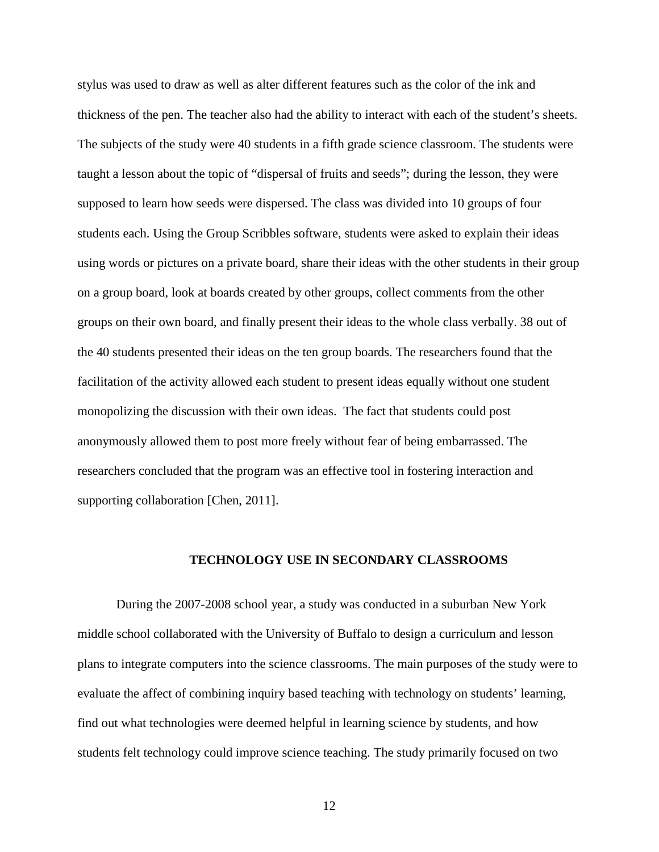stylus was used to draw as well as alter different features such as the color of the ink and thickness of the pen. The teacher also had the ability to interact with each of the student's sheets. The subjects of the study were 40 students in a fifth grade science classroom. The students were taught a lesson about the topic of "dispersal of fruits and seeds"; during the lesson, they were supposed to learn how seeds were dispersed. The class was divided into 10 groups of four students each. Using the Group Scribbles software, students were asked to explain their ideas using words or pictures on a private board, share their ideas with the other students in their group on a group board, look at boards created by other groups, collect comments from the other groups on their own board, and finally present their ideas to the whole class verbally. 38 out of the 40 students presented their ideas on the ten group boards. The researchers found that the facilitation of the activity allowed each student to present ideas equally without one student monopolizing the discussion with their own ideas. The fact that students could post anonymously allowed them to post more freely without fear of being embarrassed. The researchers concluded that the program was an effective tool in fostering interaction and supporting collaboration [Chen, 2011].

### **TECHNOLOGY USE IN SECONDARY CLASSROOMS**

During the 2007-2008 school year, a study was conducted in a suburban New York middle school collaborated with the University of Buffalo to design a curriculum and lesson plans to integrate computers into the science classrooms. The main purposes of the study were to evaluate the affect of combining inquiry based teaching with technology on students' learning, find out what technologies were deemed helpful in learning science by students, and how students felt technology could improve science teaching. The study primarily focused on two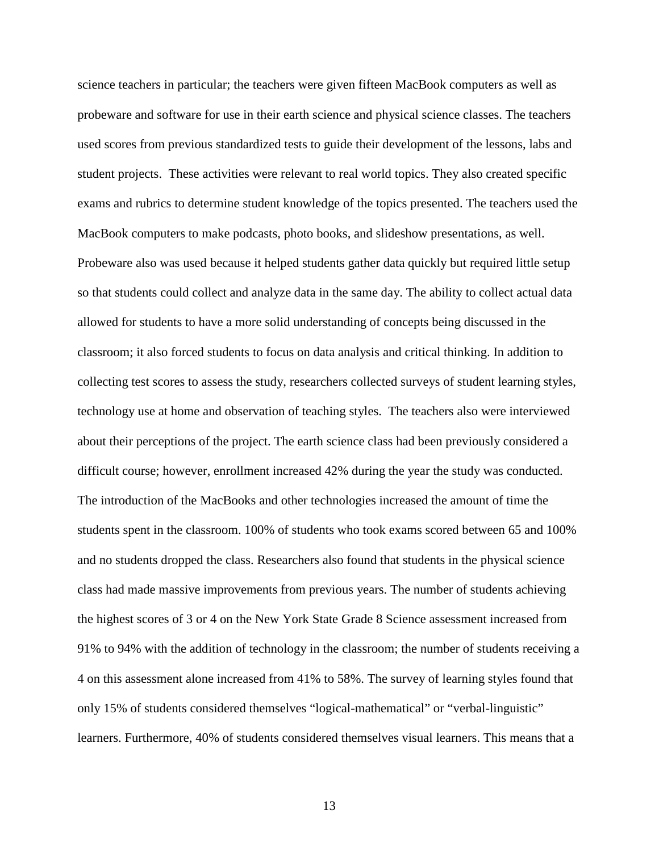science teachers in particular; the teachers were given fifteen MacBook computers as well as probeware and software for use in their earth science and physical science classes. The teachers used scores from previous standardized tests to guide their development of the lessons, labs and student projects. These activities were relevant to real world topics. They also created specific exams and rubrics to determine student knowledge of the topics presented. The teachers used the MacBook computers to make podcasts, photo books, and slideshow presentations, as well. Probeware also was used because it helped students gather data quickly but required little setup so that students could collect and analyze data in the same day. The ability to collect actual data allowed for students to have a more solid understanding of concepts being discussed in the classroom; it also forced students to focus on data analysis and critical thinking. In addition to collecting test scores to assess the study, researchers collected surveys of student learning styles, technology use at home and observation of teaching styles. The teachers also were interviewed about their perceptions of the project. The earth science class had been previously considered a difficult course; however, enrollment increased 42% during the year the study was conducted. The introduction of the MacBooks and other technologies increased the amount of time the students spent in the classroom. 100% of students who took exams scored between 65 and 100% and no students dropped the class. Researchers also found that students in the physical science class had made massive improvements from previous years. The number of students achieving the highest scores of 3 or 4 on the New York State Grade 8 Science assessment increased from 91% to 94% with the addition of technology in the classroom; the number of students receiving a 4 on this assessment alone increased from 41% to 58%. The survey of learning styles found that only 15% of students considered themselves "logical-mathematical" or "verbal-linguistic" learners. Furthermore, 40% of students considered themselves visual learners. This means that a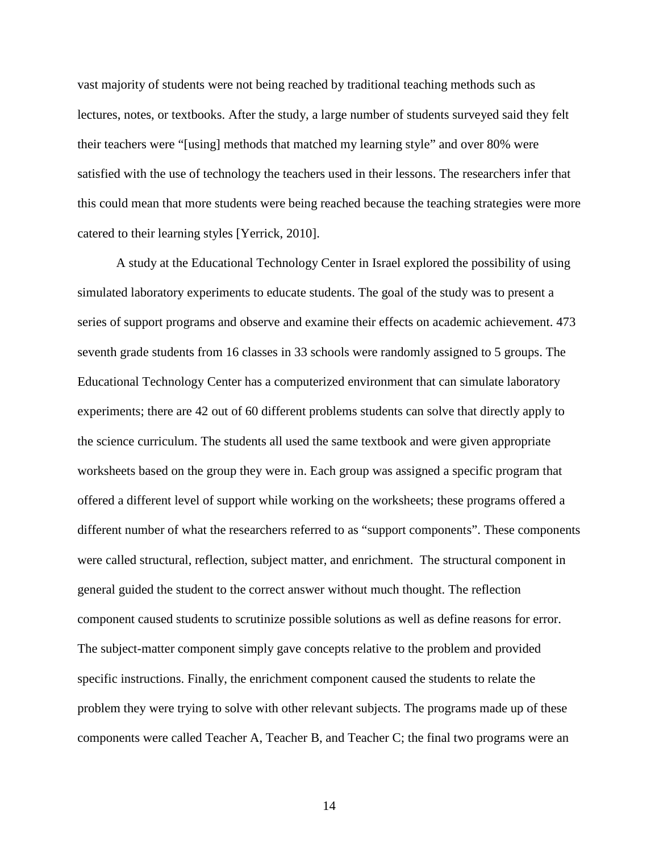vast majority of students were not being reached by traditional teaching methods such as lectures, notes, or textbooks. After the study, a large number of students surveyed said they felt their teachers were "[using] methods that matched my learning style" and over 80% were satisfied with the use of technology the teachers used in their lessons. The researchers infer that this could mean that more students were being reached because the teaching strategies were more catered to their learning styles [Yerrick, 2010].

A study at the Educational Technology Center in Israel explored the possibility of using simulated laboratory experiments to educate students. The goal of the study was to present a series of support programs and observe and examine their effects on academic achievement. 473 seventh grade students from 16 classes in 33 schools were randomly assigned to 5 groups. The Educational Technology Center has a computerized environment that can simulate laboratory experiments; there are 42 out of 60 different problems students can solve that directly apply to the science curriculum. The students all used the same textbook and were given appropriate worksheets based on the group they were in. Each group was assigned a specific program that offered a different level of support while working on the worksheets; these programs offered a different number of what the researchers referred to as "support components". These components were called structural, reflection, subject matter, and enrichment. The structural component in general guided the student to the correct answer without much thought. The reflection component caused students to scrutinize possible solutions as well as define reasons for error. The subject-matter component simply gave concepts relative to the problem and provided specific instructions. Finally, the enrichment component caused the students to relate the problem they were trying to solve with other relevant subjects. The programs made up of these components were called Teacher A, Teacher B, and Teacher C; the final two programs were an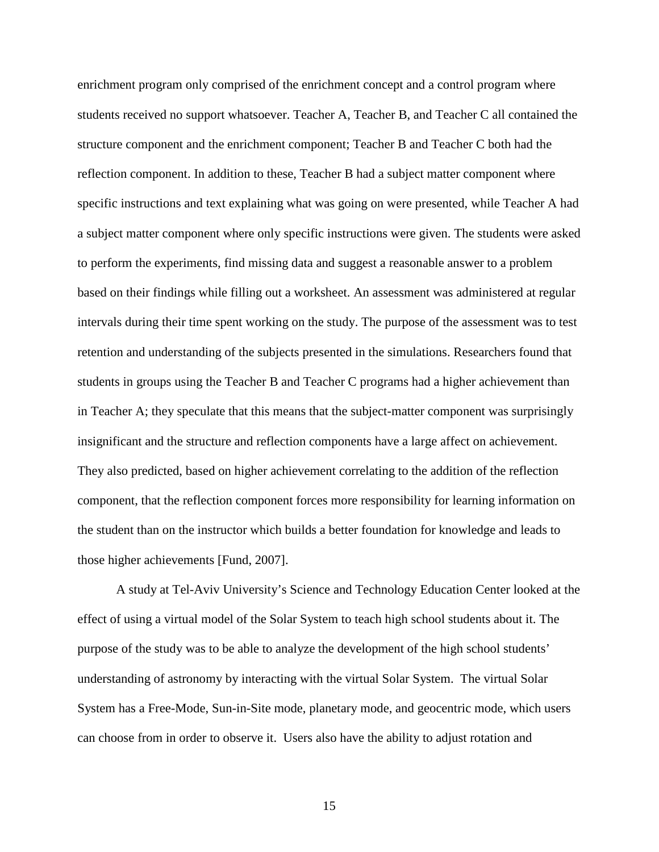enrichment program only comprised of the enrichment concept and a control program where students received no support whatsoever. Teacher A, Teacher B, and Teacher C all contained the structure component and the enrichment component; Teacher B and Teacher C both had the reflection component. In addition to these, Teacher B had a subject matter component where specific instructions and text explaining what was going on were presented, while Teacher A had a subject matter component where only specific instructions were given. The students were asked to perform the experiments, find missing data and suggest a reasonable answer to a problem based on their findings while filling out a worksheet. An assessment was administered at regular intervals during their time spent working on the study. The purpose of the assessment was to test retention and understanding of the subjects presented in the simulations. Researchers found that students in groups using the Teacher B and Teacher C programs had a higher achievement than in Teacher A; they speculate that this means that the subject-matter component was surprisingly insignificant and the structure and reflection components have a large affect on achievement. They also predicted, based on higher achievement correlating to the addition of the reflection component, that the reflection component forces more responsibility for learning information on the student than on the instructor which builds a better foundation for knowledge and leads to those higher achievements [Fund, 2007].

A study at Tel-Aviv University's Science and Technology Education Center looked at the effect of using a virtual model of the Solar System to teach high school students about it. The purpose of the study was to be able to analyze the development of the high school students' understanding of astronomy by interacting with the virtual Solar System. The virtual Solar System has a Free-Mode, Sun-in-Site mode, planetary mode, and geocentric mode, which users can choose from in order to observe it. Users also have the ability to adjust rotation and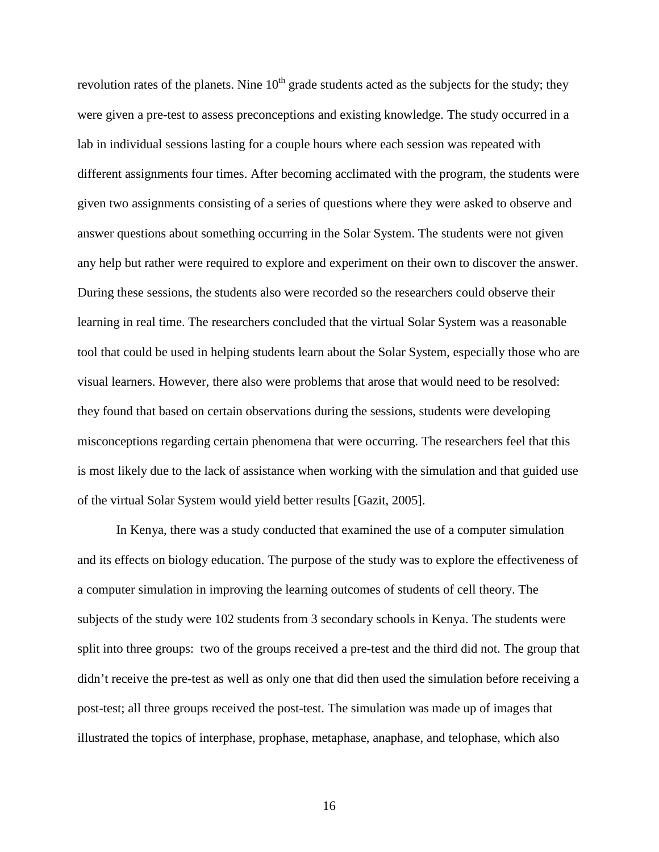revolution rates of the planets. Nine  $10<sup>th</sup>$  grade students acted as the subjects for the study; they were given a pre-test to assess preconceptions and existing knowledge. The study occurred in a lab in individual sessions lasting for a couple hours where each session was repeated with different assignments four times. After becoming acclimated with the program, the students were given two assignments consisting of a series of questions where they were asked to observe and answer questions about something occurring in the Solar System. The students were not given any help but rather were required to explore and experiment on their own to discover the answer. During these sessions, the students also were recorded so the researchers could observe their learning in real time. The researchers concluded that the virtual Solar System was a reasonable tool that could be used in helping students learn about the Solar System, especially those who are visual learners. However, there also were problems that arose that would need to be resolved: they found that based on certain observations during the sessions, students were developing misconceptions regarding certain phenomena that were occurring. The researchers feel that this is most likely due to the lack of assistance when working with the simulation and that guided use of the virtual Solar System would yield better results [Gazit, 2005].

In Kenya, there was a study conducted that examined the use of a computer simulation and its effects on biology education. The purpose of the study was to explore the effectiveness of a computer simulation in improving the learning outcomes of students of cell theory. The subjects of the study were 102 students from 3 secondary schools in Kenya. The students were split into three groups: two of the groups received a pre-test and the third did not. The group that didn't receive the pre-test as well as only one that did then used the simulation before receiving a post-test; all three groups received the post-test. The simulation was made up of images that illustrated the topics of interphase, prophase, metaphase, anaphase, and telophase, which also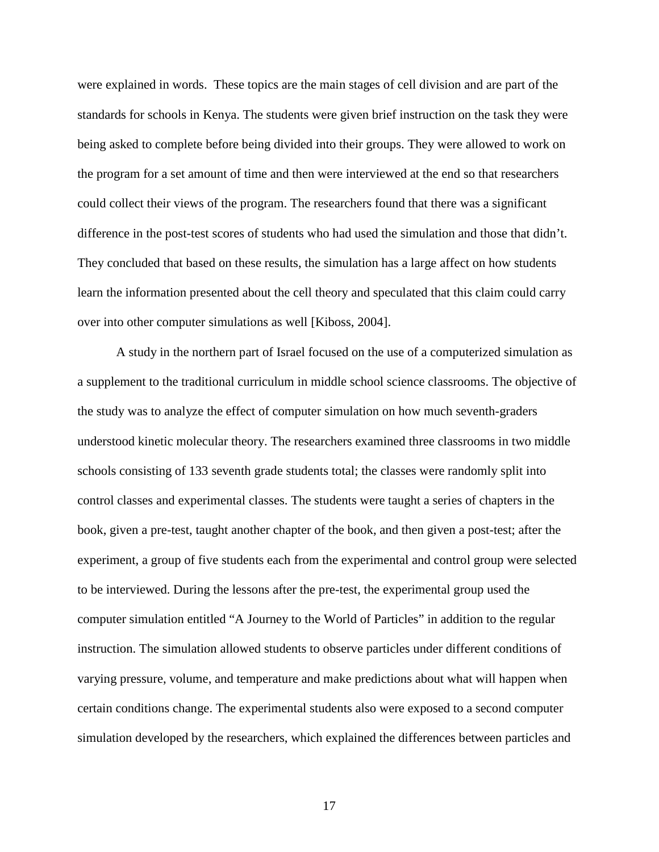were explained in words. These topics are the main stages of cell division and are part of the standards for schools in Kenya. The students were given brief instruction on the task they were being asked to complete before being divided into their groups. They were allowed to work on the program for a set amount of time and then were interviewed at the end so that researchers could collect their views of the program. The researchers found that there was a significant difference in the post-test scores of students who had used the simulation and those that didn't. They concluded that based on these results, the simulation has a large affect on how students learn the information presented about the cell theory and speculated that this claim could carry over into other computer simulations as well [Kiboss, 2004].

A study in the northern part of Israel focused on the use of a computerized simulation as a supplement to the traditional curriculum in middle school science classrooms. The objective of the study was to analyze the effect of computer simulation on how much seventh-graders understood kinetic molecular theory. The researchers examined three classrooms in two middle schools consisting of 133 seventh grade students total; the classes were randomly split into control classes and experimental classes. The students were taught a series of chapters in the book, given a pre-test, taught another chapter of the book, and then given a post-test; after the experiment, a group of five students each from the experimental and control group were selected to be interviewed. During the lessons after the pre-test, the experimental group used the computer simulation entitled "A Journey to the World of Particles" in addition to the regular instruction. The simulation allowed students to observe particles under different conditions of varying pressure, volume, and temperature and make predictions about what will happen when certain conditions change. The experimental students also were exposed to a second computer simulation developed by the researchers, which explained the differences between particles and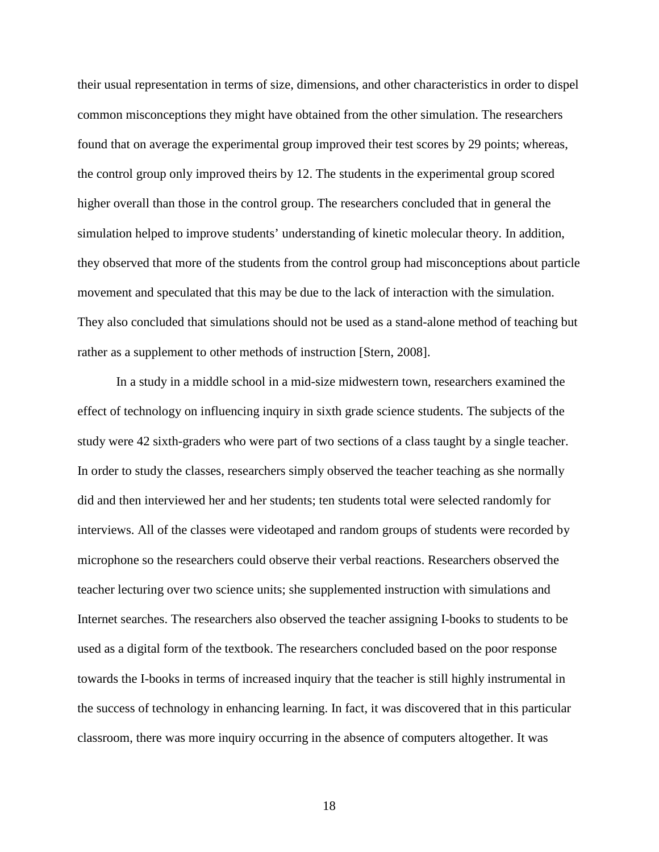their usual representation in terms of size, dimensions, and other characteristics in order to dispel common misconceptions they might have obtained from the other simulation. The researchers found that on average the experimental group improved their test scores by 29 points; whereas, the control group only improved theirs by 12. The students in the experimental group scored higher overall than those in the control group. The researchers concluded that in general the simulation helped to improve students' understanding of kinetic molecular theory. In addition, they observed that more of the students from the control group had misconceptions about particle movement and speculated that this may be due to the lack of interaction with the simulation. They also concluded that simulations should not be used as a stand-alone method of teaching but rather as a supplement to other methods of instruction [Stern, 2008].

In a study in a middle school in a mid-size midwestern town, researchers examined the effect of technology on influencing inquiry in sixth grade science students. The subjects of the study were 42 sixth-graders who were part of two sections of a class taught by a single teacher. In order to study the classes, researchers simply observed the teacher teaching as she normally did and then interviewed her and her students; ten students total were selected randomly for interviews. All of the classes were videotaped and random groups of students were recorded by microphone so the researchers could observe their verbal reactions. Researchers observed the teacher lecturing over two science units; she supplemented instruction with simulations and Internet searches. The researchers also observed the teacher assigning I-books to students to be used as a digital form of the textbook. The researchers concluded based on the poor response towards the I-books in terms of increased inquiry that the teacher is still highly instrumental in the success of technology in enhancing learning. In fact, it was discovered that in this particular classroom, there was more inquiry occurring in the absence of computers altogether. It was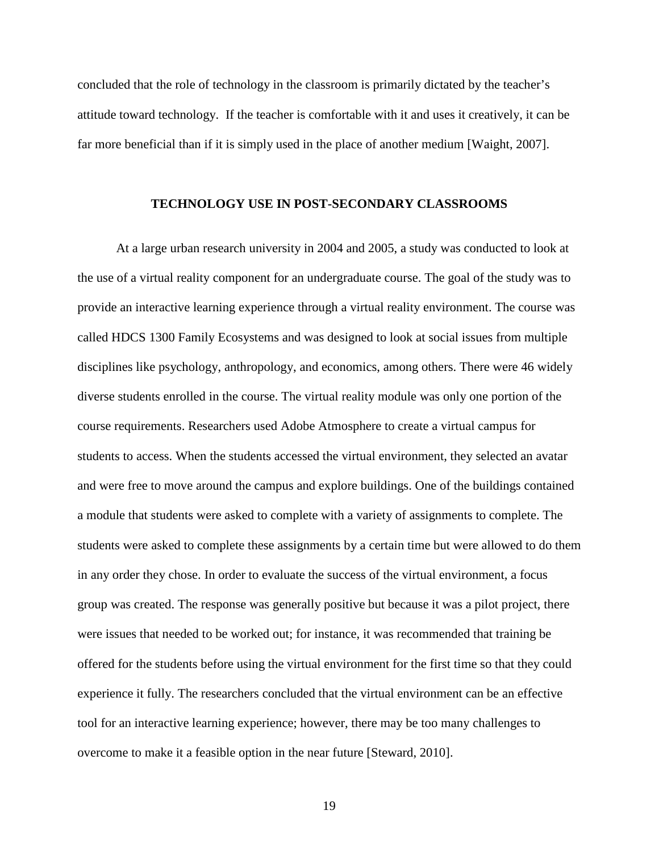concluded that the role of technology in the classroom is primarily dictated by the teacher's attitude toward technology. If the teacher is comfortable with it and uses it creatively, it can be far more beneficial than if it is simply used in the place of another medium [Waight, 2007].

### **TECHNOLOGY USE IN POST-SECONDARY CLASSROOMS**

At a large urban research university in 2004 and 2005, a study was conducted to look at the use of a virtual reality component for an undergraduate course. The goal of the study was to provide an interactive learning experience through a virtual reality environment. The course was called HDCS 1300 Family Ecosystems and was designed to look at social issues from multiple disciplines like psychology, anthropology, and economics, among others. There were 46 widely diverse students enrolled in the course. The virtual reality module was only one portion of the course requirements. Researchers used Adobe Atmosphere to create a virtual campus for students to access. When the students accessed the virtual environment, they selected an avatar and were free to move around the campus and explore buildings. One of the buildings contained a module that students were asked to complete with a variety of assignments to complete. The students were asked to complete these assignments by a certain time but were allowed to do them in any order they chose. In order to evaluate the success of the virtual environment, a focus group was created. The response was generally positive but because it was a pilot project, there were issues that needed to be worked out; for instance, it was recommended that training be offered for the students before using the virtual environment for the first time so that they could experience it fully. The researchers concluded that the virtual environment can be an effective tool for an interactive learning experience; however, there may be too many challenges to overcome to make it a feasible option in the near future [Steward, 2010].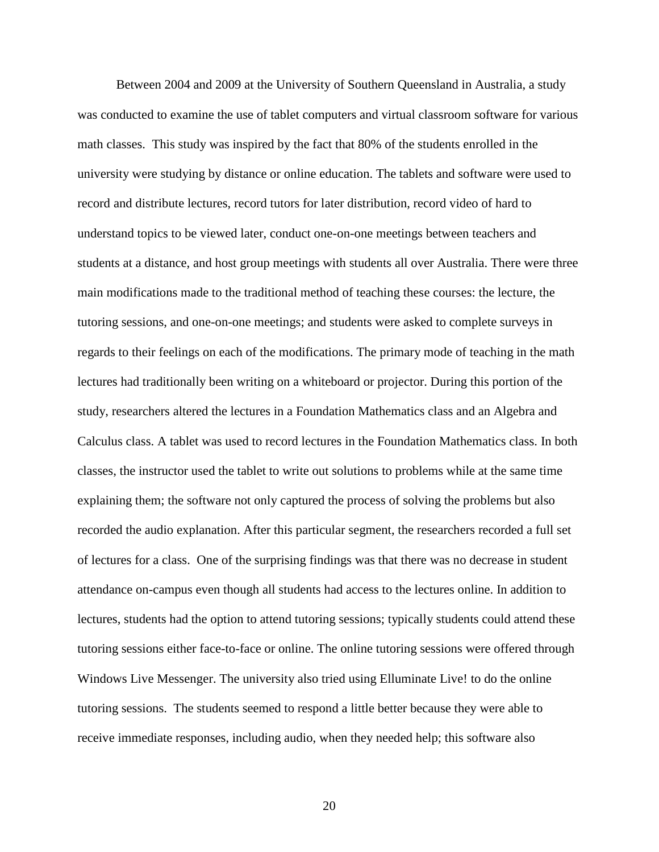Between 2004 and 2009 at the University of Southern Queensland in Australia, a study was conducted to examine the use of tablet computers and virtual classroom software for various math classes. This study was inspired by the fact that 80% of the students enrolled in the university were studying by distance or online education. The tablets and software were used to record and distribute lectures, record tutors for later distribution, record video of hard to understand topics to be viewed later, conduct one-on-one meetings between teachers and students at a distance, and host group meetings with students all over Australia. There were three main modifications made to the traditional method of teaching these courses: the lecture, the tutoring sessions, and one-on-one meetings; and students were asked to complete surveys in regards to their feelings on each of the modifications. The primary mode of teaching in the math lectures had traditionally been writing on a whiteboard or projector. During this portion of the study, researchers altered the lectures in a Foundation Mathematics class and an Algebra and Calculus class. A tablet was used to record lectures in the Foundation Mathematics class. In both classes, the instructor used the tablet to write out solutions to problems while at the same time explaining them; the software not only captured the process of solving the problems but also recorded the audio explanation. After this particular segment, the researchers recorded a full set of lectures for a class. One of the surprising findings was that there was no decrease in student attendance on-campus even though all students had access to the lectures online. In addition to lectures, students had the option to attend tutoring sessions; typically students could attend these tutoring sessions either face-to-face or online. The online tutoring sessions were offered through Windows Live Messenger. The university also tried using Elluminate Live! to do the online tutoring sessions. The students seemed to respond a little better because they were able to receive immediate responses, including audio, when they needed help; this software also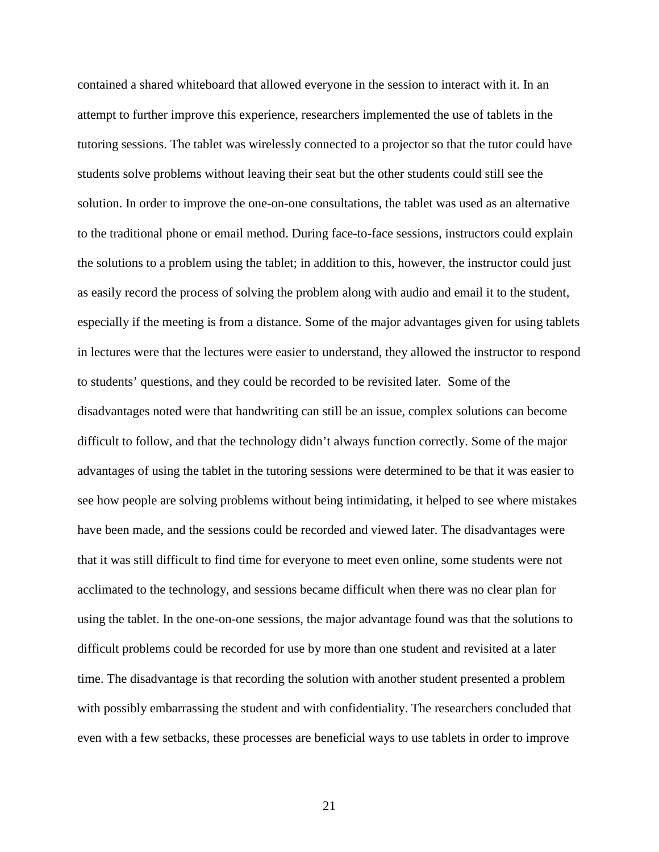contained a shared whiteboard that allowed everyone in the session to interact with it. In an attempt to further improve this experience, researchers implemented the use of tablets in the tutoring sessions. The tablet was wirelessly connected to a projector so that the tutor could have students solve problems without leaving their seat but the other students could still see the solution. In order to improve the one-on-one consultations, the tablet was used as an alternative to the traditional phone or email method. During face-to-face sessions, instructors could explain the solutions to a problem using the tablet; in addition to this, however, the instructor could just as easily record the process of solving the problem along with audio and email it to the student, especially if the meeting is from a distance. Some of the major advantages given for using tablets in lectures were that the lectures were easier to understand, they allowed the instructor to respond to students' questions, and they could be recorded to be revisited later. Some of the disadvantages noted were that handwriting can still be an issue, complex solutions can become difficult to follow, and that the technology didn't always function correctly. Some of the major advantages of using the tablet in the tutoring sessions were determined to be that it was easier to see how people are solving problems without being intimidating, it helped to see where mistakes have been made, and the sessions could be recorded and viewed later. The disadvantages were that it was still difficult to find time for everyone to meet even online, some students were not acclimated to the technology, and sessions became difficult when there was no clear plan for using the tablet. In the one-on-one sessions, the major advantage found was that the solutions to difficult problems could be recorded for use by more than one student and revisited at a later time. The disadvantage is that recording the solution with another student presented a problem with possibly embarrassing the student and with confidentiality. The researchers concluded that even with a few setbacks, these processes are beneficial ways to use tablets in order to improve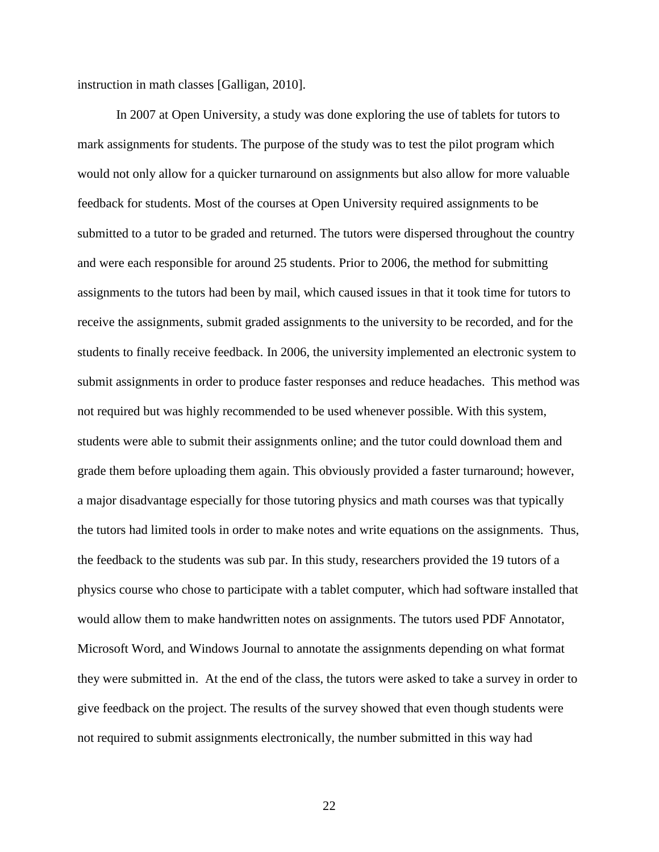instruction in math classes [Galligan, 2010].

In 2007 at Open University, a study was done exploring the use of tablets for tutors to mark assignments for students. The purpose of the study was to test the pilot program which would not only allow for a quicker turnaround on assignments but also allow for more valuable feedback for students. Most of the courses at Open University required assignments to be submitted to a tutor to be graded and returned. The tutors were dispersed throughout the country and were each responsible for around 25 students. Prior to 2006, the method for submitting assignments to the tutors had been by mail, which caused issues in that it took time for tutors to receive the assignments, submit graded assignments to the university to be recorded, and for the students to finally receive feedback. In 2006, the university implemented an electronic system to submit assignments in order to produce faster responses and reduce headaches. This method was not required but was highly recommended to be used whenever possible. With this system, students were able to submit their assignments online; and the tutor could download them and grade them before uploading them again. This obviously provided a faster turnaround; however, a major disadvantage especially for those tutoring physics and math courses was that typically the tutors had limited tools in order to make notes and write equations on the assignments. Thus, the feedback to the students was sub par. In this study, researchers provided the 19 tutors of a physics course who chose to participate with a tablet computer, which had software installed that would allow them to make handwritten notes on assignments. The tutors used PDF Annotator, Microsoft Word, and Windows Journal to annotate the assignments depending on what format they were submitted in. At the end of the class, the tutors were asked to take a survey in order to give feedback on the project. The results of the survey showed that even though students were not required to submit assignments electronically, the number submitted in this way had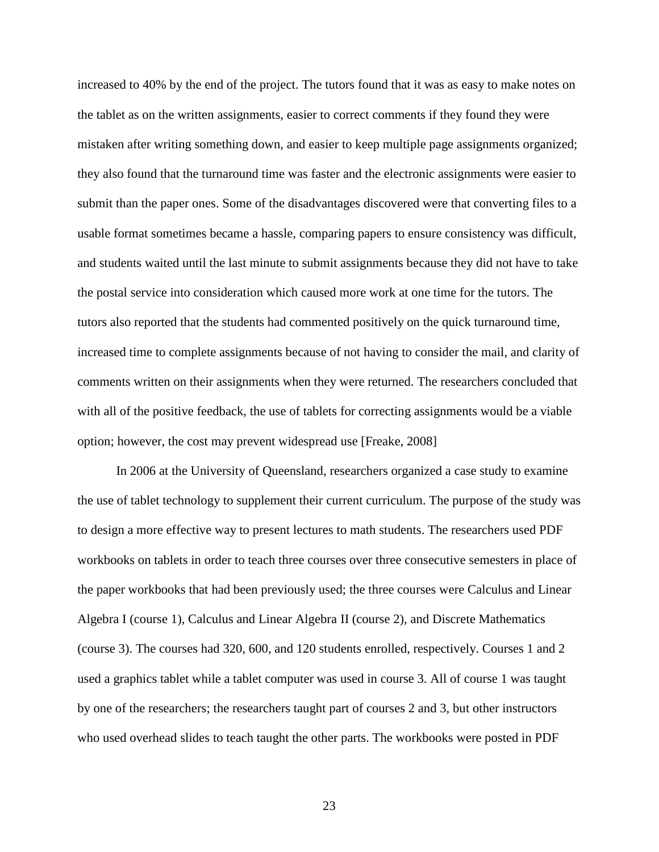increased to 40% by the end of the project. The tutors found that it was as easy to make notes on the tablet as on the written assignments, easier to correct comments if they found they were mistaken after writing something down, and easier to keep multiple page assignments organized; they also found that the turnaround time was faster and the electronic assignments were easier to submit than the paper ones. Some of the disadvantages discovered were that converting files to a usable format sometimes became a hassle, comparing papers to ensure consistency was difficult, and students waited until the last minute to submit assignments because they did not have to take the postal service into consideration which caused more work at one time for the tutors. The tutors also reported that the students had commented positively on the quick turnaround time, increased time to complete assignments because of not having to consider the mail, and clarity of comments written on their assignments when they were returned. The researchers concluded that with all of the positive feedback, the use of tablets for correcting assignments would be a viable option; however, the cost may prevent widespread use [Freake, 2008]

In 2006 at the University of Queensland, researchers organized a case study to examine the use of tablet technology to supplement their current curriculum. The purpose of the study was to design a more effective way to present lectures to math students. The researchers used PDF workbooks on tablets in order to teach three courses over three consecutive semesters in place of the paper workbooks that had been previously used; the three courses were Calculus and Linear Algebra I (course 1), Calculus and Linear Algebra II (course 2), and Discrete Mathematics (course 3). The courses had 320, 600, and 120 students enrolled, respectively. Courses 1 and 2 used a graphics tablet while a tablet computer was used in course 3. All of course 1 was taught by one of the researchers; the researchers taught part of courses 2 and 3, but other instructors who used overhead slides to teach taught the other parts. The workbooks were posted in PDF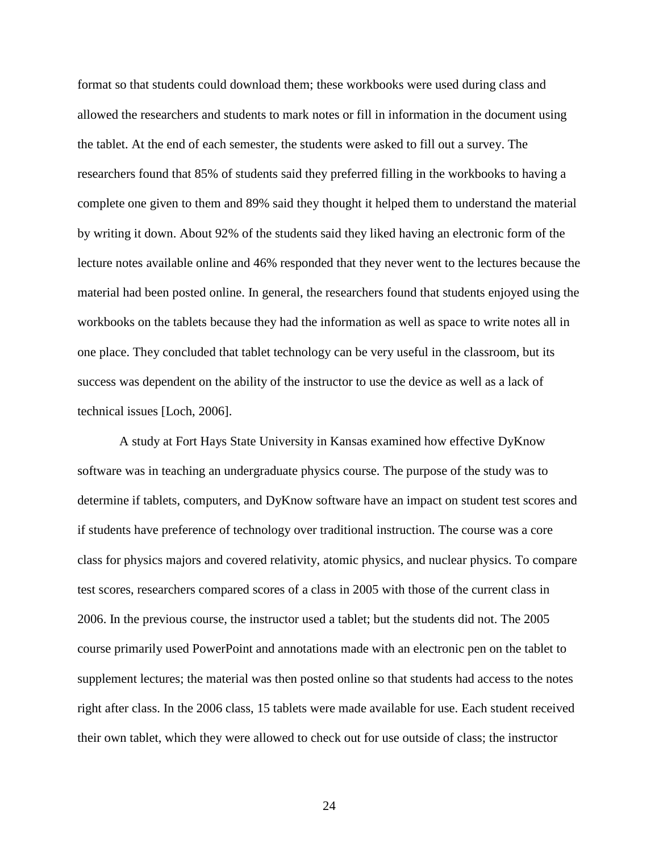format so that students could download them; these workbooks were used during class and allowed the researchers and students to mark notes or fill in information in the document using the tablet. At the end of each semester, the students were asked to fill out a survey. The researchers found that 85% of students said they preferred filling in the workbooks to having a complete one given to them and 89% said they thought it helped them to understand the material by writing it down. About 92% of the students said they liked having an electronic form of the lecture notes available online and 46% responded that they never went to the lectures because the material had been posted online. In general, the researchers found that students enjoyed using the workbooks on the tablets because they had the information as well as space to write notes all in one place. They concluded that tablet technology can be very useful in the classroom, but its success was dependent on the ability of the instructor to use the device as well as a lack of technical issues [Loch, 2006].

A study at Fort Hays State University in Kansas examined how effective DyKnow software was in teaching an undergraduate physics course. The purpose of the study was to determine if tablets, computers, and DyKnow software have an impact on student test scores and if students have preference of technology over traditional instruction. The course was a core class for physics majors and covered relativity, atomic physics, and nuclear physics. To compare test scores, researchers compared scores of a class in 2005 with those of the current class in 2006. In the previous course, the instructor used a tablet; but the students did not. The 2005 course primarily used PowerPoint and annotations made with an electronic pen on the tablet to supplement lectures; the material was then posted online so that students had access to the notes right after class. In the 2006 class, 15 tablets were made available for use. Each student received their own tablet, which they were allowed to check out for use outside of class; the instructor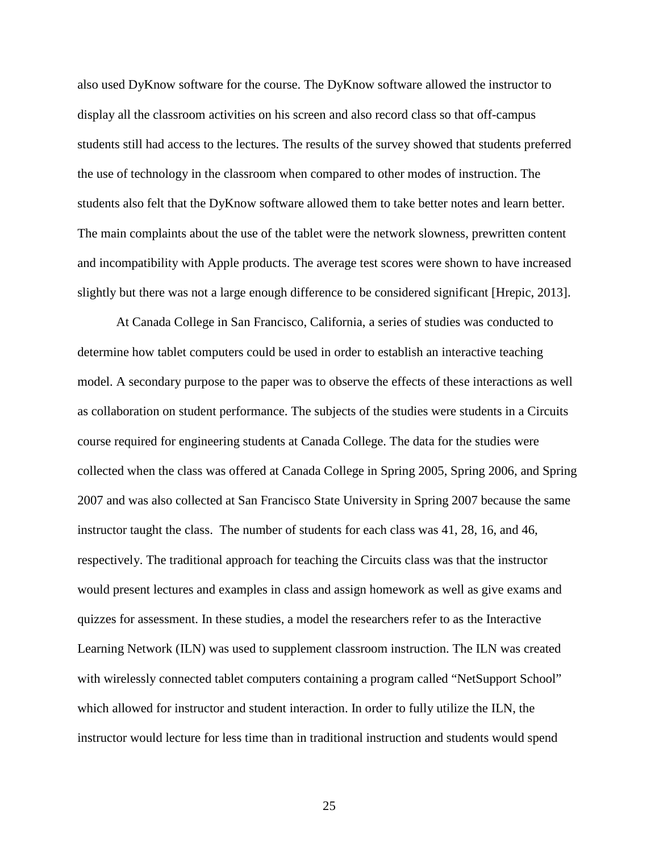also used DyKnow software for the course. The DyKnow software allowed the instructor to display all the classroom activities on his screen and also record class so that off-campus students still had access to the lectures. The results of the survey showed that students preferred the use of technology in the classroom when compared to other modes of instruction. The students also felt that the DyKnow software allowed them to take better notes and learn better. The main complaints about the use of the tablet were the network slowness, prewritten content and incompatibility with Apple products. The average test scores were shown to have increased slightly but there was not a large enough difference to be considered significant [Hrepic, 2013].

At Canada College in San Francisco, California, a series of studies was conducted to determine how tablet computers could be used in order to establish an interactive teaching model. A secondary purpose to the paper was to observe the effects of these interactions as well as collaboration on student performance. The subjects of the studies were students in a Circuits course required for engineering students at Canada College. The data for the studies were collected when the class was offered at Canada College in Spring 2005, Spring 2006, and Spring 2007 and was also collected at San Francisco State University in Spring 2007 because the same instructor taught the class. The number of students for each class was 41, 28, 16, and 46, respectively. The traditional approach for teaching the Circuits class was that the instructor would present lectures and examples in class and assign homework as well as give exams and quizzes for assessment. In these studies, a model the researchers refer to as the Interactive Learning Network (ILN) was used to supplement classroom instruction. The ILN was created with wirelessly connected tablet computers containing a program called "NetSupport School" which allowed for instructor and student interaction. In order to fully utilize the ILN, the instructor would lecture for less time than in traditional instruction and students would spend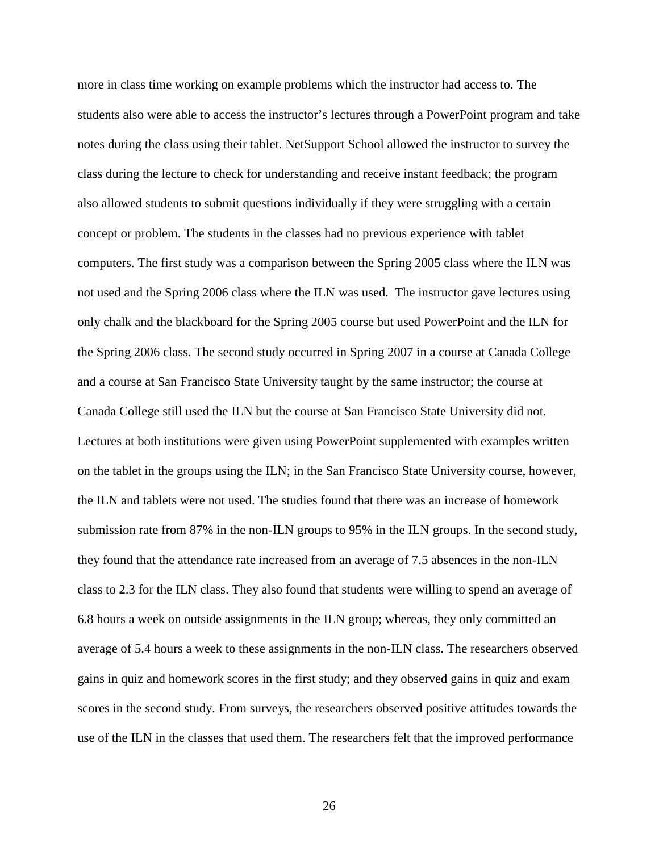more in class time working on example problems which the instructor had access to. The students also were able to access the instructor's lectures through a PowerPoint program and take notes during the class using their tablet. NetSupport School allowed the instructor to survey the class during the lecture to check for understanding and receive instant feedback; the program also allowed students to submit questions individually if they were struggling with a certain concept or problem. The students in the classes had no previous experience with tablet computers. The first study was a comparison between the Spring 2005 class where the ILN was not used and the Spring 2006 class where the ILN was used. The instructor gave lectures using only chalk and the blackboard for the Spring 2005 course but used PowerPoint and the ILN for the Spring 2006 class. The second study occurred in Spring 2007 in a course at Canada College and a course at San Francisco State University taught by the same instructor; the course at Canada College still used the ILN but the course at San Francisco State University did not. Lectures at both institutions were given using PowerPoint supplemented with examples written on the tablet in the groups using the ILN; in the San Francisco State University course, however, the ILN and tablets were not used. The studies found that there was an increase of homework submission rate from 87% in the non-ILN groups to 95% in the ILN groups. In the second study, they found that the attendance rate increased from an average of 7.5 absences in the non-ILN class to 2.3 for the ILN class. They also found that students were willing to spend an average of 6.8 hours a week on outside assignments in the ILN group; whereas, they only committed an average of 5.4 hours a week to these assignments in the non-ILN class. The researchers observed gains in quiz and homework scores in the first study; and they observed gains in quiz and exam scores in the second study. From surveys, the researchers observed positive attitudes towards the use of the ILN in the classes that used them. The researchers felt that the improved performance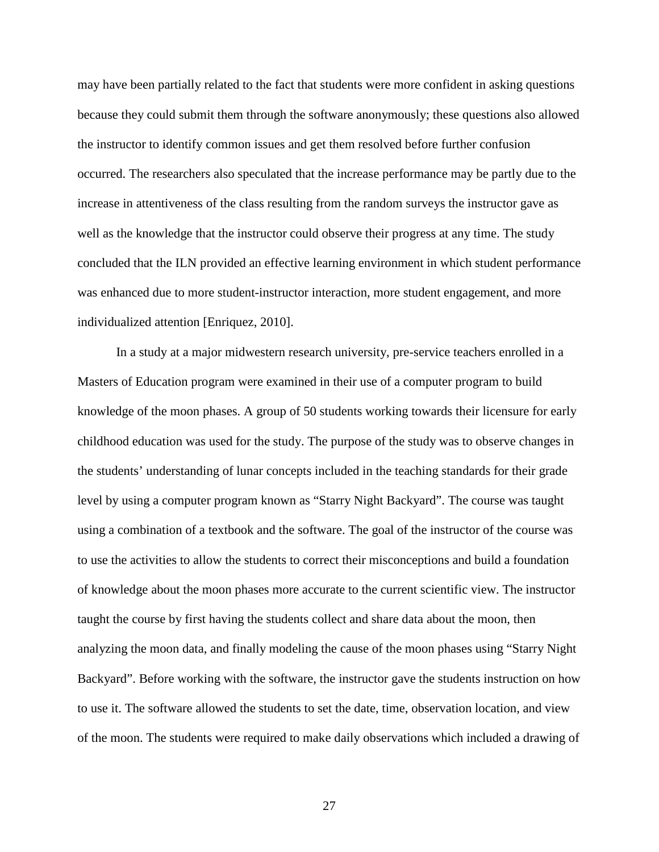may have been partially related to the fact that students were more confident in asking questions because they could submit them through the software anonymously; these questions also allowed the instructor to identify common issues and get them resolved before further confusion occurred. The researchers also speculated that the increase performance may be partly due to the increase in attentiveness of the class resulting from the random surveys the instructor gave as well as the knowledge that the instructor could observe their progress at any time. The study concluded that the ILN provided an effective learning environment in which student performance was enhanced due to more student-instructor interaction, more student engagement, and more individualized attention [Enriquez, 2010].

In a study at a major midwestern research university, pre-service teachers enrolled in a Masters of Education program were examined in their use of a computer program to build knowledge of the moon phases. A group of 50 students working towards their licensure for early childhood education was used for the study. The purpose of the study was to observe changes in the students' understanding of lunar concepts included in the teaching standards for their grade level by using a computer program known as "Starry Night Backyard". The course was taught using a combination of a textbook and the software. The goal of the instructor of the course was to use the activities to allow the students to correct their misconceptions and build a foundation of knowledge about the moon phases more accurate to the current scientific view. The instructor taught the course by first having the students collect and share data about the moon, then analyzing the moon data, and finally modeling the cause of the moon phases using "Starry Night Backyard". Before working with the software, the instructor gave the students instruction on how to use it. The software allowed the students to set the date, time, observation location, and view of the moon. The students were required to make daily observations which included a drawing of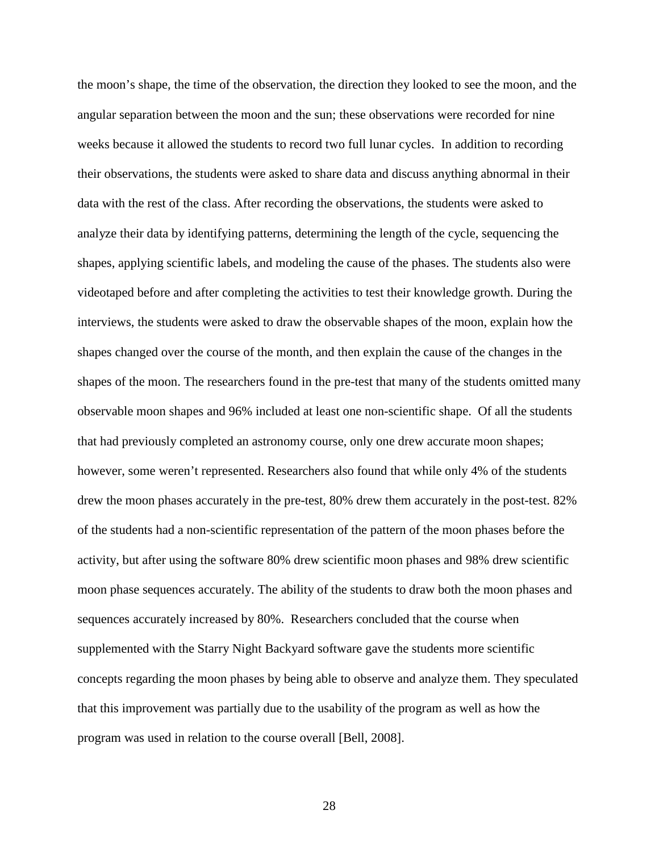the moon's shape, the time of the observation, the direction they looked to see the moon, and the angular separation between the moon and the sun; these observations were recorded for nine weeks because it allowed the students to record two full lunar cycles. In addition to recording their observations, the students were asked to share data and discuss anything abnormal in their data with the rest of the class. After recording the observations, the students were asked to analyze their data by identifying patterns, determining the length of the cycle, sequencing the shapes, applying scientific labels, and modeling the cause of the phases. The students also were videotaped before and after completing the activities to test their knowledge growth. During the interviews, the students were asked to draw the observable shapes of the moon, explain how the shapes changed over the course of the month, and then explain the cause of the changes in the shapes of the moon. The researchers found in the pre-test that many of the students omitted many observable moon shapes and 96% included at least one non-scientific shape. Of all the students that had previously completed an astronomy course, only one drew accurate moon shapes; however, some weren't represented. Researchers also found that while only 4% of the students drew the moon phases accurately in the pre-test, 80% drew them accurately in the post-test. 82% of the students had a non-scientific representation of the pattern of the moon phases before the activity, but after using the software 80% drew scientific moon phases and 98% drew scientific moon phase sequences accurately. The ability of the students to draw both the moon phases and sequences accurately increased by 80%. Researchers concluded that the course when supplemented with the Starry Night Backyard software gave the students more scientific concepts regarding the moon phases by being able to observe and analyze them. They speculated that this improvement was partially due to the usability of the program as well as how the program was used in relation to the course overall [Bell, 2008].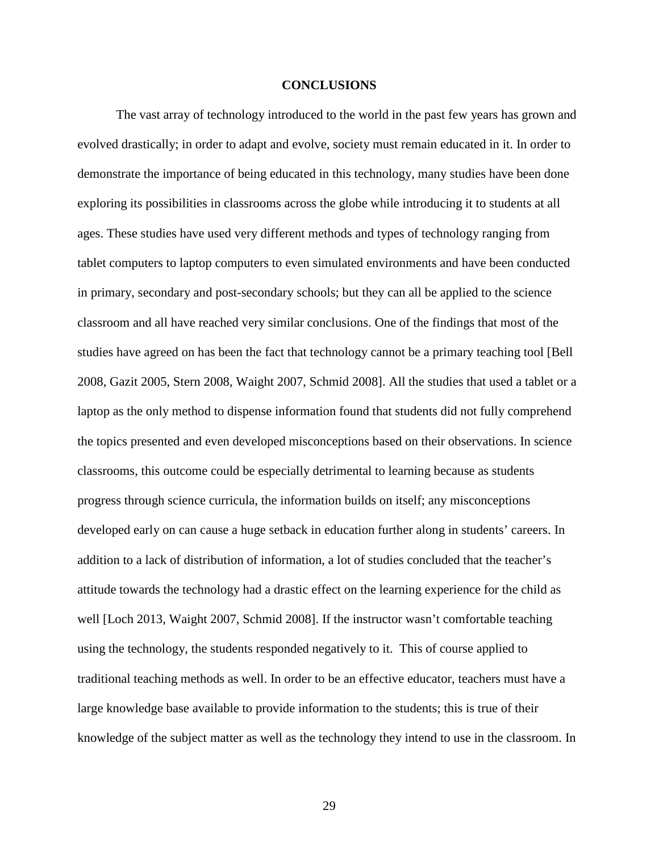### **CONCLUSIONS**

The vast array of technology introduced to the world in the past few years has grown and evolved drastically; in order to adapt and evolve, society must remain educated in it. In order to demonstrate the importance of being educated in this technology, many studies have been done exploring its possibilities in classrooms across the globe while introducing it to students at all ages. These studies have used very different methods and types of technology ranging from tablet computers to laptop computers to even simulated environments and have been conducted in primary, secondary and post-secondary schools; but they can all be applied to the science classroom and all have reached very similar conclusions. One of the findings that most of the studies have agreed on has been the fact that technology cannot be a primary teaching tool [Bell 2008, Gazit 2005, Stern 2008, Waight 2007, Schmid 2008]. All the studies that used a tablet or a laptop as the only method to dispense information found that students did not fully comprehend the topics presented and even developed misconceptions based on their observations. In science classrooms, this outcome could be especially detrimental to learning because as students progress through science curricula, the information builds on itself; any misconceptions developed early on can cause a huge setback in education further along in students' careers. In addition to a lack of distribution of information, a lot of studies concluded that the teacher's attitude towards the technology had a drastic effect on the learning experience for the child as well [Loch 2013, Waight 2007, Schmid 2008]. If the instructor wasn't comfortable teaching using the technology, the students responded negatively to it. This of course applied to traditional teaching methods as well. In order to be an effective educator, teachers must have a large knowledge base available to provide information to the students; this is true of their knowledge of the subject matter as well as the technology they intend to use in the classroom. In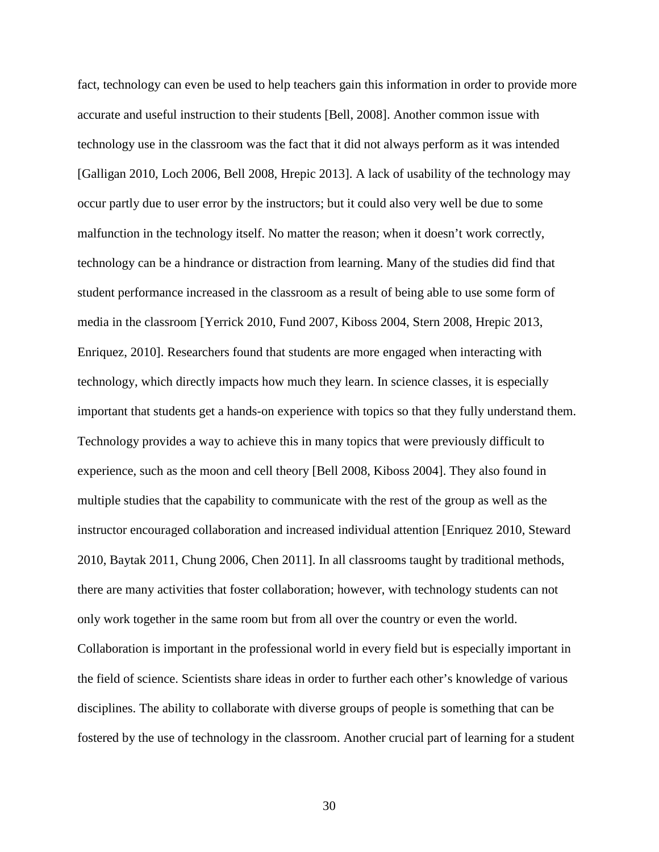fact, technology can even be used to help teachers gain this information in order to provide more accurate and useful instruction to their students [Bell, 2008]. Another common issue with technology use in the classroom was the fact that it did not always perform as it was intended [Galligan 2010, Loch 2006, Bell 2008, Hrepic 2013]. A lack of usability of the technology may occur partly due to user error by the instructors; but it could also very well be due to some malfunction in the technology itself. No matter the reason; when it doesn't work correctly, technology can be a hindrance or distraction from learning. Many of the studies did find that student performance increased in the classroom as a result of being able to use some form of media in the classroom [Yerrick 2010, Fund 2007, Kiboss 2004, Stern 2008, Hrepic 2013, Enriquez, 2010]. Researchers found that students are more engaged when interacting with technology, which directly impacts how much they learn. In science classes, it is especially important that students get a hands-on experience with topics so that they fully understand them. Technology provides a way to achieve this in many topics that were previously difficult to experience, such as the moon and cell theory [Bell 2008, Kiboss 2004]. They also found in multiple studies that the capability to communicate with the rest of the group as well as the instructor encouraged collaboration and increased individual attention [Enriquez 2010, Steward 2010, Baytak 2011, Chung 2006, Chen 2011]. In all classrooms taught by traditional methods, there are many activities that foster collaboration; however, with technology students can not only work together in the same room but from all over the country or even the world. Collaboration is important in the professional world in every field but is especially important in the field of science. Scientists share ideas in order to further each other's knowledge of various disciplines. The ability to collaborate with diverse groups of people is something that can be fostered by the use of technology in the classroom. Another crucial part of learning for a student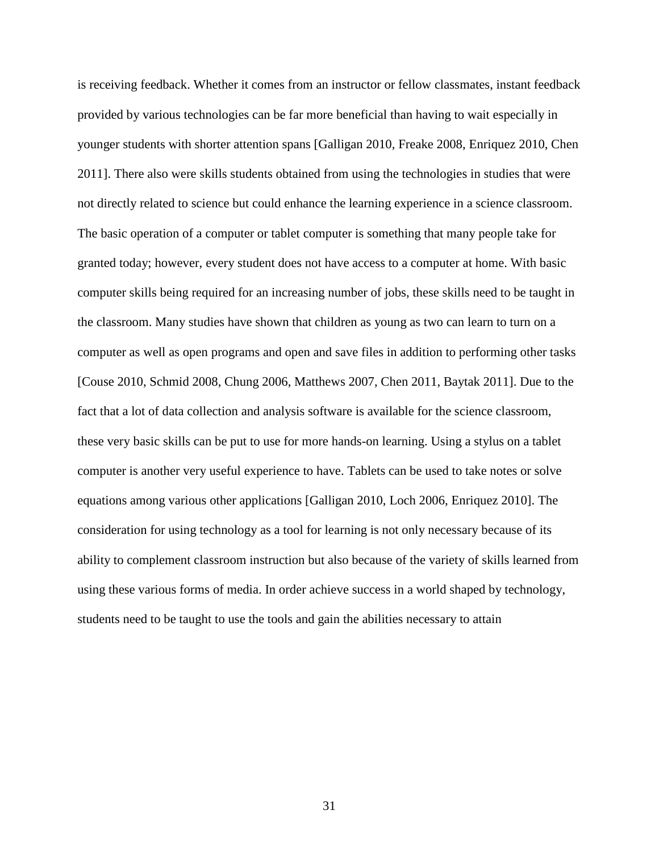is receiving feedback. Whether it comes from an instructor or fellow classmates, instant feedback provided by various technologies can be far more beneficial than having to wait especially in younger students with shorter attention spans [Galligan 2010, Freake 2008, Enriquez 2010, Chen 2011]. There also were skills students obtained from using the technologies in studies that were not directly related to science but could enhance the learning experience in a science classroom. The basic operation of a computer or tablet computer is something that many people take for granted today; however, every student does not have access to a computer at home. With basic computer skills being required for an increasing number of jobs, these skills need to be taught in the classroom. Many studies have shown that children as young as two can learn to turn on a computer as well as open programs and open and save files in addition to performing other tasks [Couse 2010, Schmid 2008, Chung 2006, Matthews 2007, Chen 2011, Baytak 2011]. Due to the fact that a lot of data collection and analysis software is available for the science classroom, these very basic skills can be put to use for more hands-on learning. Using a stylus on a tablet computer is another very useful experience to have. Tablets can be used to take notes or solve equations among various other applications [Galligan 2010, Loch 2006, Enriquez 2010]. The consideration for using technology as a tool for learning is not only necessary because of its ability to complement classroom instruction but also because of the variety of skills learned from using these various forms of media. In order achieve success in a world shaped by technology, students need to be taught to use the tools and gain the abilities necessary to attain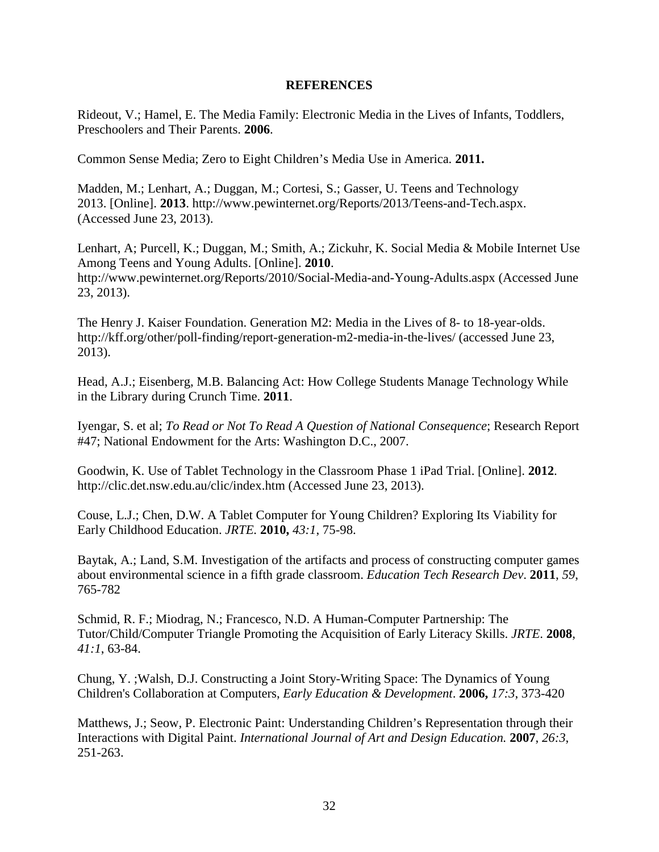## **REFERENCES**

Rideout, V.; Hamel, E. The Media Family: Electronic Media in the Lives of Infants, Toddlers, Preschoolers and Their Parents. **2006**.

Common Sense Media; Zero to Eight Children's Media Use in America*.* **2011.** 

Madden, M.; Lenhart, A.; Duggan, M.; Cortesi, S.; Gasser, U. Teens and Technology 2013. [Online]. **2013**. [http://www.pewinternet.org/Reports/2013/Teens-and-Tech.aspx.](http://www.pewinternet.org/Reports/2013/Teens-and-Tech.aspx) (Accessed June 23, 2013).

Lenhart, A; Purcell, K.; Duggan, M.; Smith, A.; Zickuhr, K. Social Media & Mobile Internet Use Among Teens and Young Adults. [Online]. **2010**. http://www.pewinternet.org/Reports/2010/Social-Media-and-Young-Adults.aspx (Accessed June 23, 2013).

The Henry J. Kaiser Foundation. Generation M2: Media in the Lives of 8- to 18-year-olds. http://kff.org/other/poll-finding/report-generation-m2-media-in-the-lives/ (accessed June 23, 2013).

Head, A.J.; Eisenberg, M.B. Balancing Act: How College Students Manage Technology While in the Library during Crunch Time. **2011**.

Iyengar, S. et al; *To Read or Not To Read A Question of National Consequence*; Research Report #47; National Endowment for the Arts: Washington D.C., 2007.

Goodwin, K. Use of Tablet Technology in the Classroom Phase 1 iPad Trial. [Online]. **2012**. <http://clic.det.nsw.edu.au/clic/index.htm> (Accessed June 23, 2013).

Couse, L.J.; Chen, D.W. A Tablet Computer for Young Children? Exploring Its Viability for Early Childhood Education. *JRTE.* **2010,** *43:1*, 75-98.

Baytak, A.; Land, S.M. Investigation of the artifacts and process of constructing computer games about environmental science in a fifth grade classroom. *Education Tech Research Dev*. **2011**, *59*, 765-782

Schmid, R. F.; Miodrag, N.; Francesco, N.D. A Human-Computer Partnership: The Tutor/Child/Computer Triangle Promoting the Acquisition of Early Literacy Skills. *JRTE*. **2008**, *41:1*, 63-84.

Chung, Y. ;Walsh, D.J. Constructing a Joint Story-Writing Space: The Dynamics of Young Children's Collaboration at Computers, *Early Education & Development*. **2006,** *17:3*, 373-420

Matthews, J.; Seow, P. Electronic Paint: Understanding Children's Representation through their Interactions with Digital Paint. *International Journal of Art and Design Education.* **2007**, *26:3*, 251-263.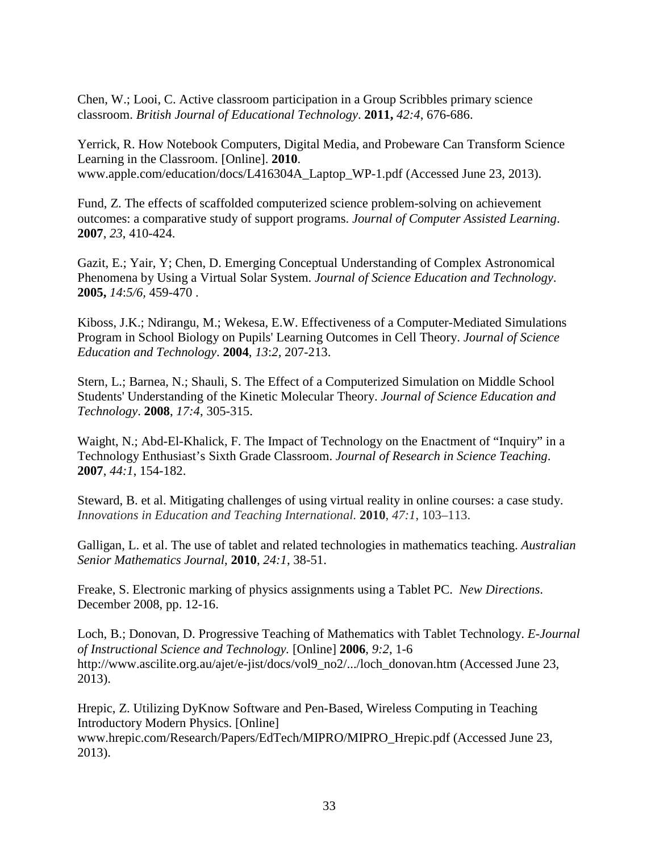Chen, W.; Looi, C. Active classroom participation in a Group Scribbles primary science classroom. *British Journal of Educational Technology*. **2011,** *42:4*, 676-686.

Yerrick, R. How Notebook Computers, Digital Media, and Probeware Can Transform Science Learning in the Classroom. [Online]. **2010**. www.apple.com/education/docs/L416304A\_Laptop\_WP-1.pdf (Accessed June 23, 2013).

Fund, Z. The effects of scaffolded computerized science problem-solving on achievement outcomes: a comparative study of support programs. *Journal of Computer Assisted Learning*. **2007**, *23*, 410-424.

Gazit, E.; Yair, Y; Chen, D. Emerging Conceptual Understanding of Complex Astronomical Phenomena by Using a Virtual Solar System. *Journal of Science Education and Technology*. **2005,** *14*:*5/6,* 459-470 .

Kiboss, J.K.; Ndirangu, M.; Wekesa, E.W. Effectiveness of a Computer-Mediated Simulations Program in School Biology on Pupils' Learning Outcomes in Cell Theory. *Journal of Science Education and Technology*. **2004**, *13*:*2,* 207-213.

Stern, L.; Barnea, N.; Shauli, S. The Effect of a Computerized Simulation on Middle School Students' Understanding of the Kinetic Molecular Theory. *Journal of Science Education and Technology*. **2008**, *17:4*, 305-315.

Waight, N.; Abd-El-Khalick, F. The Impact of Technology on the Enactment of "Inquiry" in a Technology Enthusiast's Sixth Grade Classroom. *Journal of Research in Science Teaching*. **2007**, *44:1*, 154-182.

Steward, B. et al. Mitigating challenges of using virtual reality in online courses: a case study. *Innovations in Education and Teaching International.* **2010**, *47:1*, 103–113.

Galligan, L. et al. The use of tablet and related technologies in mathematics teaching. *Australian Senior Mathematics Journal*, **2010**, *24:1*, 38-51.

Freake, S. Electronic marking of physics assignments using a Tablet PC. *New Directions*. December 2008, pp. 12-16.

Loch, B.; Donovan, D. Progressive Teaching of Mathematics with Tablet Technology. *E-Journal of Instructional Science and Technology.* [Online] **2006**, *9:2*, 1-6 [http://www.ascilite.org.au/ajet/e-jist/docs/vol9\\_no2/.../loch\\_donovan.htm](http://www.ascilite.org.au/ajet/e-jist/docs/vol9_no2/.../loch_donovan.htm) (Accessed June 23, 2013).

Hrepic, Z. Utilizing DyKnow Software and Pen-Based, Wireless Computing in Teaching Introductory Modern Physics. [Online] www.hrepic.com/Research/Papers/EdTech/MIPRO/MIPRO\_Hrepic.pdf (Accessed June 23, 2013).